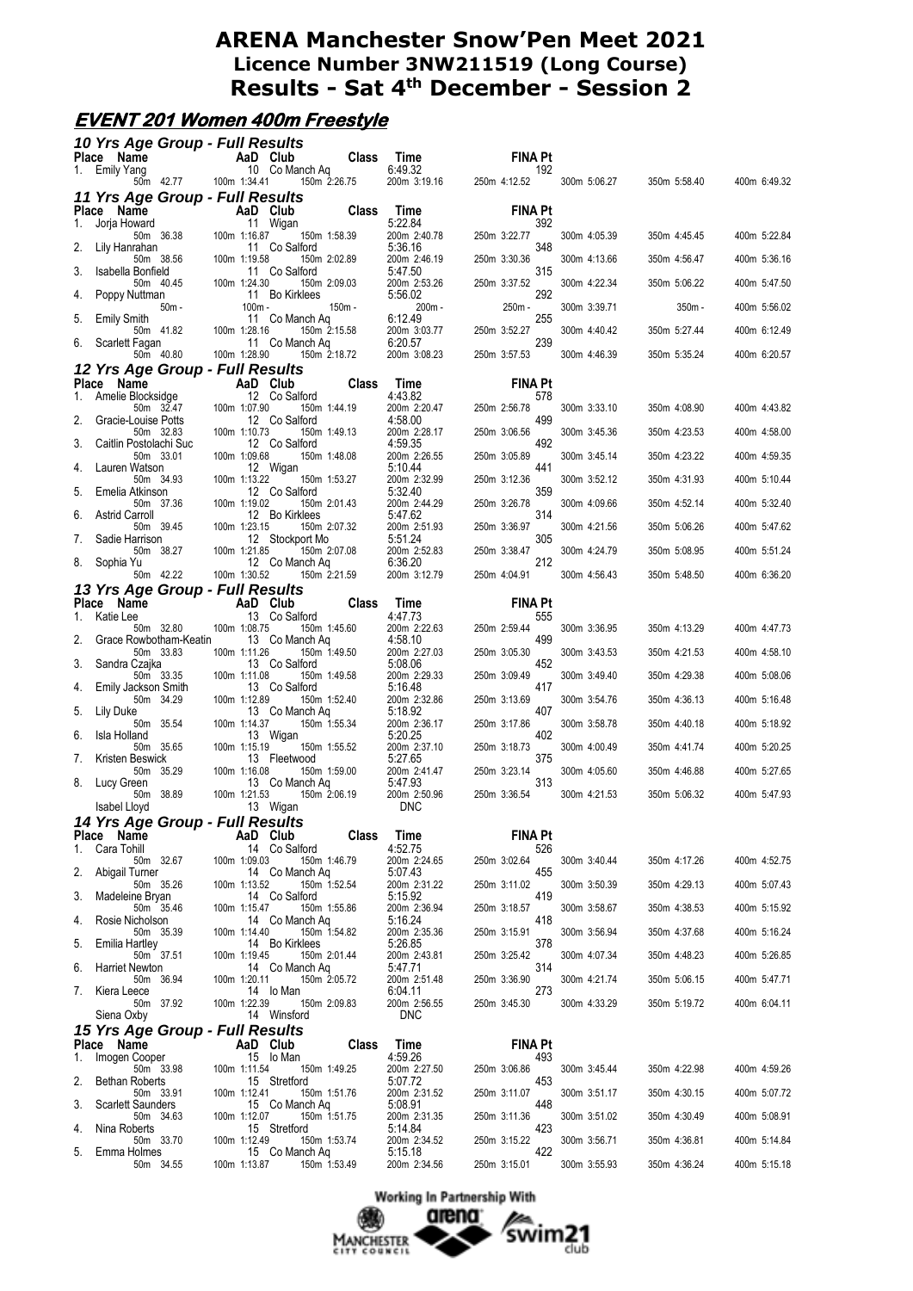# **EVENT 201 Women 400m Freestyle**

|    | 10 Yrs Age Group - Full Results<br>Place Name |                            |          |                            | <b>Class</b> | Time                       | <b>FINA Pt</b>        |              |              |              |
|----|-----------------------------------------------|----------------------------|----------|----------------------------|--------------|----------------------------|-----------------------|--------------|--------------|--------------|
|    | 1. Emily Yang<br>50m 42.77 100m 1:34.41       | AaD Club<br>10 Co Manch Aq |          |                            |              | 6:49.32<br>200m 3:19.16    | 192<br>250m 4:12.52   | 300m 5:06.27 | 350m 5:58.40 | 400m 6:49.32 |
|    | 11 Yrs Age Group - Full Results               |                            |          |                            | 150m 2:26.75 |                            |                       |              |              |              |
| 1. | Place Name<br>Jorja Howard                    |                            |          | AaD Club<br>11 Wigan       | <b>Class</b> | Time<br>5:22.84            | <b>FINA Pt</b><br>392 |              |              |              |
|    | 50m 36.38                                     | 100m 1:16.87               |          | 150m 1:58.39               |              | 200m 2:40.78               | 250m 3:22.77          | 300m 4:05.39 | 350m 4:45.45 | 400m 5:22.84 |
| 2. | Lily Hanrahan<br>50m 38.56                    | 100m 1:19.58               |          | 11 Co Salford              | 150m 2:02.89 | 5:36.16<br>200m 2:46.19    | 348<br>250m 3:30.36   | 300m 4:13.66 | 350m 4:56.47 | 400m 5:36.16 |
| 3. | Isabella Bonfield<br>50m 40.45                | 100m 1:24.30               |          | 11 Co Salford              | 150m 2:09.03 | 5:47.50<br>200m 2:53.26    | 315<br>250m 3:37.52   | 300m 4:22.34 | 350m 5:06.22 | 400m 5:47.50 |
| 4. | Poppy Nuttman<br>$50m -$                      |                            | $100m -$ | 11 Bo Kirklees<br>$150m -$ |              | 5:56.02<br>200m-           | 292<br>250m -         | 300m 3:39.71 | 350m -       | 400m 5:56.02 |
| 5. | <b>Emily Smith</b><br>50m 41.82               | 100m 1:28.16               |          | 11 Co Manch Ag             | 150m 2:15.58 | 6:12.49<br>200m 3:03.77    | 255<br>250m 3:52.27   | 300m 4:40.42 | 350m 5:27.44 | 400m 6:12.49 |
| 6. | Scarlett Fagan<br>50m 40.80                   | 100m 1:28.90               |          | 11 Co Manch Ag             | 150m 2:18.72 | 6:20.57<br>200m 3:08.23    | 239<br>250m 3:57.53   | 300m 4:46.39 | 350m 5:35.24 | 400m 6:20.57 |
|    | 12 Yrs Age Group - Full Results               |                            |          |                            |              |                            |                       |              |              |              |
| 1. | Place Name<br>Amelie Blocksidge               |                            |          | AaD Club<br>12 Co Salford  | <b>Class</b> | Time<br>4:43.82            | <b>FINA Pt</b><br>578 |              |              |              |
| 2. | 50m 32.47<br>Gracie-Louise Potts              | 100m 1:07.90               |          | 12 Co Salford              | 150m 1:44.19 | 200m 2:20.47<br>4:58.00    | 250m 2:56.78<br>499   | 300m 3:33.10 | 350m 4:08.90 | 400m 4:43.82 |
| 3. | 50m 32.83                                     | 100m 1:10.73               |          |                            | 150m 1:49.13 | 200m 2:28.17<br>4:59.35    | 250m 3:06.56<br>492   | 300m 3:45.36 | 350m 4:23.53 | 400m 4:58.00 |
|    | Caitlin Postolachi Suc<br>50m 33.01           | 100m 1:09.68               |          | 12 Co Salford              | 150m 1:48.08 | 200m 2:26.55               | 250m 3:05.89          | 300m 3:45.14 | 350m 4:23.22 | 400m 4:59.35 |
| 4. | Lauren Watson<br>50m 34.93                    | 100m 1:13.22               |          | 12 Wigan                   | 150m 1:53.27 | 5:10.44<br>200m 2:32.99    | 441<br>250m 3:12.36   | 300m 3:52.12 | 350m 4:31.93 | 400m 5:10.44 |
| 5. | Emelia Atkinson<br>50m 37.36                  | 100m 1:19.02               |          | 12 Co Salford              | 150m 2:01.43 | 5:32.40<br>200m 2:44.29    | 359<br>250m 3:26.78   | 300m 4:09.66 | 350m 4:52.14 | 400m 5:32.40 |
| 6. | <b>Astrid Carroll</b><br>50m 39.45            | 100m 1:23.15               |          | 12 Bo Kirklees             | 150m 2:07.32 | 5:47.62<br>200m 2:51.93    | 314<br>250m 3:36.97   | 300m 4:21.56 | 350m 5:06.26 | 400m 5:47.62 |
| 7. | Sadie Harrison<br>50m 38.27                   | 100m 1:21.85               |          | 12 Stockport Mo            | 150m 2:07.08 | 5:51.24<br>200m 2:52.83    | 305<br>250m 3:38.47   | 300m 4:24.79 | 350m 5:08.95 | 400m 5:51.24 |
| 8. | Sophia Yu<br>50m 42.22                        | 100m 1:30.52               |          | 12 Co Manch Ag             | 150m 2:21.59 | 6:36.20<br>200m 3:12.79    | 212<br>250m 4:04.91   | 300m 4:56.43 | 350m 5:48.50 | 400m 6:36.20 |
|    | 13 Yrs Age Group - Full Results               |                            |          |                            |              |                            |                       |              |              |              |
| 1. | Place Name<br>Katie Lee                       | <b>Example 2</b> AaD Club  |          | 13 Co Salford              | <b>Class</b> | Time<br>4:47.73            | <b>FINA Pt</b><br>555 |              |              |              |
| 2. | 50m 32.80<br>Grace Rowbotham-Keatin           | 100m 1:08.75               |          | 13 Co Manch Aq             | 150m 1:45.60 | 200m 2:22.63<br>4:58.10    | 250m 2:59.44<br>499   | 300m 3:36.95 | 350m 4:13.29 | 400m 4:47.73 |
| 3. | 50m 33.83<br>Sandra Czajka                    | 100m 1:11.26               |          | 13 Co Salford              | 150m 1:49.50 | 200m 2:27.03<br>5:08.06    | 250m 3:05.30<br>452   | 300m 3:43.53 | 350m 4:21.53 | 400m 4:58.10 |
|    | 50m 33.35                                     | 100m 1:11.08               |          |                            | 150m 1:49.58 | 200m 2:29.33<br>5:16.48    | 250m 3:09.49<br>417   | 300m 3:49.40 | 350m 4:29.38 | 400m 5:08.06 |
| 4. | Emily Jackson Smith<br>50m 34.29              | 100m 1:12.89               |          | 13 Co Salford              | 150m 1:52.40 | 200m 2:32.86               | 250m 3:13.69          | 300m 3:54.76 | 350m 4:36.13 | 400m 5:16.48 |
| 5. | Lily Duke<br>50m 35.54                        | 100m 1:14.37               |          | 13 Co Manch Aq             | 150m 1:55.34 | 5:18.92<br>200m 2:36.17    | 407<br>250m 3:17.86   | 300m 3:58.78 | 350m 4:40.18 | 400m 5:18.92 |
| 6. | Isla Holland<br>50m 35.65                     | 100m 1:15.19               |          | 13 Wigan                   | 150m 1:55.52 | 5:20.25<br>200m 2:37.10    | 402<br>250m 3:18.73   | 300m 4:00.49 | 350m 4:41.74 | 400m 5:20.25 |
| 7. | Kristen Beswick<br>50m 35.29                  | 100m 1:16.08               |          | 13 Fleetwood               | 150m 1:59.00 | 5:27.65<br>200m 2:41.47    | 375<br>250m 3:23.14   | 300m 4:05.60 | 350m 4:46.88 | 400m 5:27.65 |
| 8. | Lucy Green<br>50m 38.89                       | 100m 1:21.53               |          | 13 Co Manch Aq             | 150m 2:06.19 | 5:47.93<br>200m 2:50.96    | 313<br>250m 3:36.54   | 300m 4:21.53 | 350m 5:06.32 | 400m 5:47.93 |
|    | Isabel Lloyd                                  |                            |          | 13 Wigan                   |              | <b>DNC</b>                 |                       |              |              |              |
|    | 14 Yrs Age Group - Full Results<br>Place Name |                            |          | AaD Club                   | <b>Class</b> | Time                       | <b>FINA Pt</b>        |              |              |              |
| 1. | Cara Tohill<br>50m 32.67                      | 100m 1:09.03               |          | 14 Co Salford              | 150m 1:46.79 | 4:52.75<br>200m 2:24.65    | 526<br>250m 3:02.64   | 300m 3:40.44 | 350m 4:17.26 | 400m 4:52.75 |
| 2. | Abigail Turner<br>50m 35.26                   | 100m 1:13.52               |          | 14 Co Manch Ag             | 150m 1:52.54 | 5:07.43<br>200m 2:31.22    | 455<br>250m 3:11.02   | 300m 3:50.39 | 350m 4:29.13 | 400m 5:07.43 |
| 3. | Madeleine Bryan<br>50m 35.46                  | 100m 1:15.47               |          | 14 Co Salford              | 150m 1:55.86 | 5:15.92<br>200m 2:36.94    | 419<br>250m 3:18.57   | 300m 3:58.67 | 350m 4:38.53 | 400m 5:15.92 |
| 4. | Rosie Nicholson<br>50m 35.39                  | 100m 1:14.40               |          | 14 Co Manch Aq             | 150m 1:54.82 | 5:16.24                    | 418<br>250m 3:15.91   | 300m 3:56.94 |              |              |
| 5. | Emilia Hartley                                |                            |          | 14 Bo Kirklees             |              | 200m 2:35.36<br>5:26.85    | 378                   |              | 350m 4:37.68 | 400m 5:16.24 |
| 6. | 50m 37.51<br><b>Harriet Newton</b>            | 100m 1:19.45               |          | 14 Co Manch Ag             | 150m 2:01.44 | 200m 2:43.81<br>5:47.71    | 250m 3:25.42<br>314   | 300m 4:07.34 | 350m 4:48.23 | 400m 5:26.85 |
| 7. | 50m 36.94<br>Kiera Leece                      | 100m 1:20.11               |          | 14 lo Man                  | 150m 2:05.72 | 200m 2:51.48<br>6:04.11    | 250m 3:36.90<br>273   | 300m 4:21.74 | 350m 5:06.15 | 400m 5:47.71 |
|    | 50m 37.92<br>Siena Oxby                       | 100m 1:22.39               |          | 14 Winsford                | 150m 2:09.83 | 200m 2:56.55<br><b>DNC</b> | 250m 3:45.30          | 300m 4:33.29 | 350m 5:19.72 | 400m 6:04.11 |
|    | 15 Yrs Age Group - Full Results               |                            |          |                            |              |                            |                       |              |              |              |
| 1. | Place Name<br>Imogen Cooper                   |                            |          | AaD Club<br>15 lo Man      | <b>Class</b> | Time<br>4:59.26            | <b>FINA Pt</b><br>493 |              |              |              |
| 2. | 50m 33.98<br><b>Bethan Roberts</b>            | 100m 1:11.54               |          | 15 Stretford               | 150m 1:49.25 | 200m 2:27.50<br>5:07.72    | 250m 3:06.86<br>453   | 300m 3:45.44 | 350m 4:22.98 | 400m 4:59.26 |
| 3. | 50m 33.91<br><b>Scarlett Saunders</b>         | 100m 1:12.41               |          | 15 Co Manch Ag             | 150m 1:51.76 | 200m 2:31.52<br>5:08.91    | 250m 3:11.07<br>448   | 300m 3:51.17 | 350m 4:30.15 | 400m 5:07.72 |
| 4. | 50m 34.63<br>Nina Roberts                     | 100m 1:12.07               |          | 15 Stretford               | 150m 1:51.75 | 200m 2:31.35<br>5:14.84    | 250m 3:11.36<br>423   | 300m 3:51.02 | 350m 4:30.49 | 400m 5:08.91 |
| 5. | 50m 33.70<br>Emma Holmes                      | 100m 1:12.49               |          | 15 Co Manch Ag             | 150m 1:53.74 | 200m 2:34.52<br>5:15.18    | 250m 3:15.22<br>422   | 300m 3:56.71 | 350m 4:36.81 | 400m 5:14.84 |
|    | 50m 34.55                                     | 100m 1:13.87               |          |                            | 150m 1:53.49 | 200m 2:34.56               | 250m 3:15.01          | 300m 3:55.93 | 350m 4:36.24 | 400m 5:15.18 |

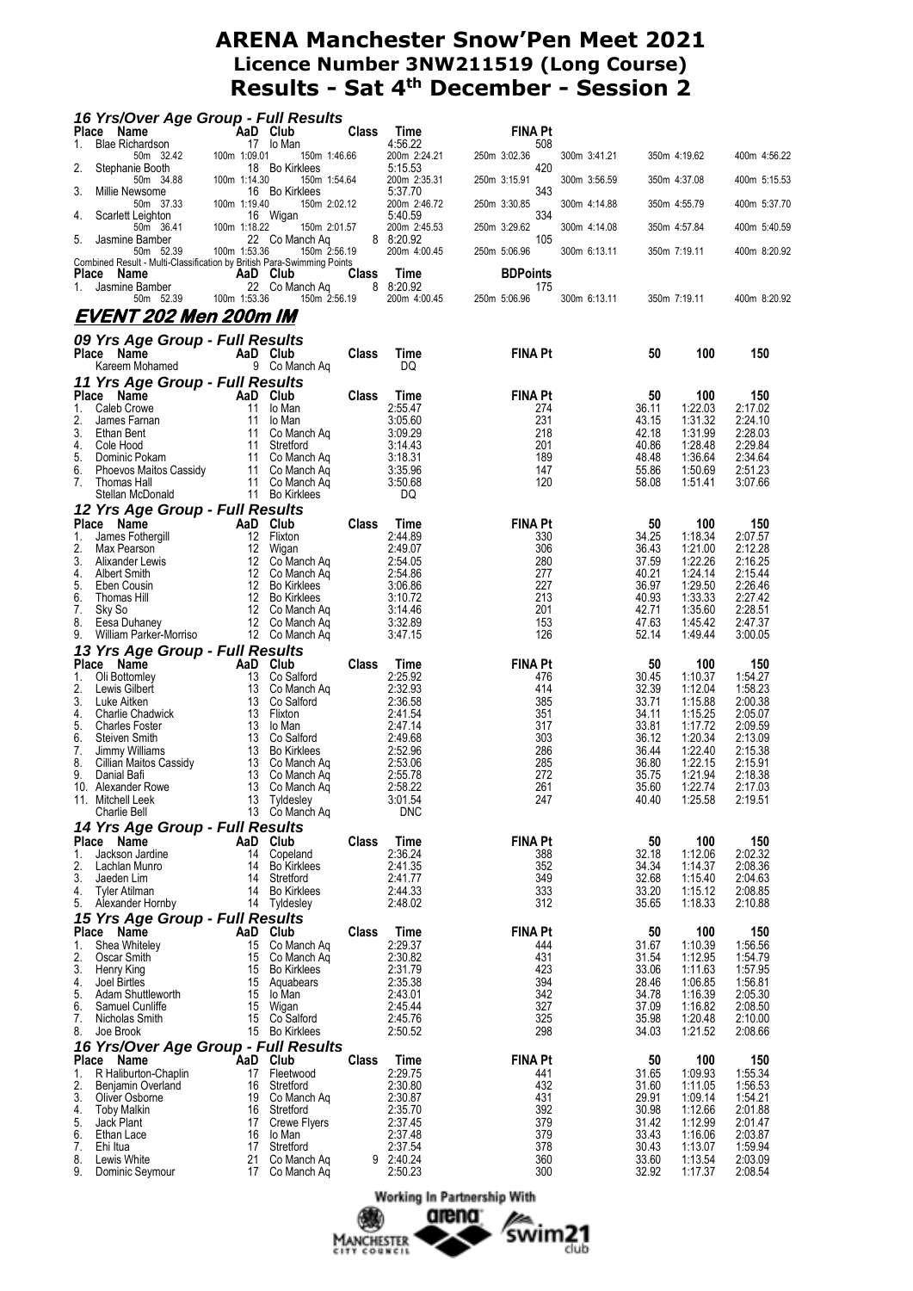|                    | 16 Yrs/Over Age Group - Full Results                                                |              |                                    |              |                           |                       |              |                |                    |                    |
|--------------------|-------------------------------------------------------------------------------------|--------------|------------------------------------|--------------|---------------------------|-----------------------|--------------|----------------|--------------------|--------------------|
| Place<br>1.        | Name<br><b>Blae Richardson</b>                                                      | AaD Club     | 17 lo Man                          | <b>Class</b> | Time<br>4:56.22           | <b>FINA Pt</b><br>508 |              |                |                    |                    |
| 2.                 | 50m 32.42<br>Stephanie Booth                                                        | 100m 1:09.01 | 150m 1:46.66<br>18 Bo Kirklees     |              | 200m 2:24.21<br>5:15.53   | 250m 3:02.36<br>420   | 300m 3:41.21 |                | 350m 4:19.62       | 400m 4:56.22       |
|                    | 50m 34.88                                                                           | 100m 1:14.30 | 150m 1:54.64                       |              | 200m 2:35.31              | 250m 3:15.91          | 300m 3:56.59 |                | 350m 4:37.08       | 400m 5:15.53       |
| 3.                 | Millie Newsome<br>50m 37.33                                                         | 100m 1:19.40 | 16 Bo Kirklees<br>150m 2:02.12     |              | 5:37.70<br>200m 2:46.72   | 343<br>250m 3:30.85   | 300m 4:14.88 |                | 350m 4:55.79       | 400m 5:37.70       |
| 4.                 | Scarlett Leighton                                                                   |              | 16 Wigan                           |              | 5:40.59                   | 334                   |              |                |                    |                    |
| 5.                 | 50m 36.41<br>Jasmine Bamber                                                         | 100m 1:18.22 | 150m 2:01.57<br>22 Co Manch Aq     |              | 200m 2:45.53<br>8 8:20.92 | 250m 3:29.62<br>105   | 300m 4:14.08 |                | 350m 4:57.84       | 400m 5:40.59       |
|                    | 50m 52.39<br>Combined Result - Multi-Classification by British Para-Swimming Points | 100m 1:53.36 | 150m 2:56.19                       |              | 200m 4:00.45              | 250m 5:06.96          | 300m 6:13.11 |                | 350m 7:19.11       | 400m 8:20.92       |
| Place              | Name                                                                                | AaD Club     |                                    | <b>Class</b> | Time                      | <b>BDPoints</b>       |              |                |                    |                    |
| 1.                 | Jasmine Bamber<br>50m 52.39                                                         | 100m 1:53.36 | 22 Co Manch Aq<br>150m 2:56.19     |              | 8 8:20.92<br>200m 4:00.45 | 175<br>250m 5:06.96   | 300m 6:13.11 |                | 350m 7:19.11       | 400m 8:20.92       |
|                    | EVENT 202 Men 200m IM                                                               |              |                                    |              |                           |                       |              |                |                    |                    |
|                    | 09 Yrs Age Group - Full Results                                                     |              |                                    |              |                           |                       |              |                |                    |                    |
|                    | Place Name                                                                          |              | AaD Club                           | Class        | Time                      | <b>FINA Pt</b>        |              | 50             | 100                | 150                |
|                    | Kareem Mohamed                                                                      |              | 9 Co Manch Aq                      |              | DQ                        |                       |              |                |                    |                    |
|                    | 11 Yrs Age Group - Full Results<br>Place Name                                       |              | AaD Club                           | Class        | Time                      | <b>FINA Pt</b>        |              | 50             | 100                | 150                |
| 1.                 | Caleb Crowe                                                                         | 11           | lo Man                             |              | 2:55.47                   | 274                   |              | 36.11          | 1:22.03            | 2:17.02            |
| 2.                 | James Farnan                                                                        | 11           | lo Man                             |              | 3:05.60                   | 231                   |              | 43.15          | 1:31.32            | 2:24.10            |
| 3.<br>4.           | Ethan Bent<br>Cole Hood                                                             | 11<br>11     | Co Manch Aq<br>Stretford           |              | 3:09.29<br>3:14.43        | 218<br>201            |              | 42.18<br>40.86 | 1:31.99<br>1:28.48 | 2:28.03<br>2:29.84 |
| 5.                 | Dominic Pokam                                                                       |              | 11 Co Manch Aq                     |              | 3:18.31                   | 189                   |              | 48.48          | 1:36.64            | 2:34.64            |
| 6.                 | Phoevos Maitos Cassidy                                                              |              | 11 Co Manch Ag                     |              | 3:35.96                   | 147                   |              | 55.86          | 1:50.69            | 2:51.23            |
| 7.                 | <b>Thomas Hall</b><br>Stellan McDonald                                              |              | 11 Co Manch Aq<br>11 Bo Kirklees   |              | 3:50.68<br>DQ             | 120                   |              | 58.08          | 1:51.41            | 3:07.66            |
|                    | 12 Yrs Age Group - Full Results                                                     |              |                                    |              |                           |                       |              |                |                    |                    |
|                    | Place Name                                                                          |              | AaD Club                           | Class        | Time                      | <b>FINA Pt</b>        |              | 50             | 100                | 150                |
| 1.                 | James Fothergill                                                                    | 12           | Flixton                            |              | 2:44.89                   | 330                   |              | 34.25          | 1:18.34            | 2:07.57            |
| 2.<br>3.           | Max Pearson<br>Alixander Lewis                                                      | 12           | 12 Wigan<br>Co Manch Ag            |              | 2:49.07<br>2:54.05        | 306<br>280            |              | 36.43<br>37.59 | 1:21.00<br>1:22.26 | 2:12.28<br>2:16.25 |
| 4.                 | Albert Smith                                                                        | 12           | Co Manch Ag                        |              | 2:54.86                   | 277                   |              | 40.21          | 1:24.14            | 2:15.44            |
| 5.                 | Eben Cousin                                                                         |              | 12 Bo Kirklees                     |              | 3:06.86                   | 227                   |              | 36.97          | 1:29.50            | 2:26.46            |
| 6.<br>7.           | Thomas Hill<br>Sky So                                                               | 12<br>12     | <b>Bo Kirklees</b><br>Co Manch Aq  |              | 3:10.72<br>3:14.46        | 213<br>201            |              | 40.93<br>42.71 | 1:33.33<br>1:35.60 | 2:27.42<br>2:28.51 |
| 8.                 | Eesa Duhaney                                                                        |              | 12 Co Manch Aq                     |              | 3:32.89                   | 153                   |              | 47.63          | 1:45.42            | 2:47.37            |
| 9.                 | William Parker-Morriso                                                              |              | 12 Co Manch Ag                     |              | 3:47.15                   | 126                   |              | 52.14          | 1:49.44            | 3:00.05            |
|                    | 13 Yrs Age Group - Full Results                                                     |              |                                    |              |                           |                       |              |                |                    |                    |
| <b>Place</b><br>1. | Name<br>Oli Bottomley                                                               | AaD          | Club<br>13 Co Salford              | Class        | Time<br>2:25.92           | <b>FINA Pt</b><br>476 |              | 50<br>30.45    | 100<br>1:10.37     | 150<br>1:54.27     |
| 2.                 | Lewis Gilbert                                                                       |              | 13 Co Manch Aq                     |              | 2:32.93                   | 414                   |              | 32.39          | 1:12.04            | 1:58.23            |
| 3.                 | Luke Aitken                                                                         | 13           | Co Salford                         |              | 2:36.58                   | 385                   |              | 33.71          | 1:15.88            | 2:00.38            |
| 4.                 | <b>Charlie Chadwick</b>                                                             |              | 13 Flixton<br>lo Man               |              | 2:41.54                   | 351                   |              | 34.11          | 1:15.25            | 2:05.07            |
| 5.<br>6.           | <b>Charles Foster</b><br><b>Steiven Smith</b>                                       | 13           | 13 Co Salford                      |              | 2:47.14<br>2:49.68        | 317<br>303            |              | 33.81<br>36.12 | 1:17.72<br>1:20.34 | 2:09.59<br>2:13.09 |
| 7.                 | Jimmy Williams                                                                      |              | 13 Bo Kirklees                     |              | 2:52.96                   | 286                   |              | 36.44          | 1:22.40            | 2:15.38            |
| 8.                 | Cillian Maitos Cassidy                                                              |              | 13 Co Manch Aq                     |              | 2:53.06                   | 285                   |              | 36.80          | 1:22.15            | 2:15.91            |
| 9.                 | Danial Bafi<br>10. Alexander Rowe                                                   | 13           | 13 Co Manch Aq<br>Co Manch Aq      |              | 2:55.78<br>2:58.22        | 272<br>261            |              | 35.75<br>35.60 | 1:21.94<br>1:22.74 | 2:18.38<br>2:17.03 |
|                    | 11. Mitchell Leek                                                                   |              | 13 Tyldesley                       |              | 3:01.54                   | 247                   |              | 40.40          | 1:25.58            | 2:19.51            |
|                    | Charlie Bell                                                                        |              | 13 Co Manch Aq                     |              | DNC                       |                       |              |                |                    |                    |
|                    | 14 Yrs Age Group - Full Results                                                     |              |                                    |              |                           |                       |              |                |                    |                    |
| 1.                 | Place Name<br>Jackson Jardine                                                       | AaD<br>14    | Club<br>Copeland                   | Class        | <b>Time</b><br>2:36.24    | <b>FINA Pt</b><br>388 |              | 50<br>32.18    | 100<br>1:12.06     | 150<br>2:02.32     |
| 2.                 | Lachlan Munro                                                                       | 14           | <b>Bo Kirklees</b>                 |              | 2:41.35                   | 352                   |              | 34.34          | 1:14.37            | 2:08.36            |
| 3.                 | Jaeden Lim                                                                          | 14           | Stretford                          |              | 2:41.77                   | 349                   |              | 32.68          | 1:15.40            | 2:04.63            |
| 4.<br>5.           | Tyler Atilman<br>Alexander Hornby                                                   | 14           | Bo Kirklees<br>14 Tyldesley        |              | 2:44.33<br>2:48.02        | 333<br>312            |              | 33.20<br>35.65 | 1:15.12<br>1:18.33 | 2:08.85<br>2:10.88 |
|                    | 15 Yrs Age Group - Full Results                                                     |              |                                    |              |                           |                       |              |                |                    |                    |
|                    | Place Name                                                                          |              | AaD Club                           | Class        | Time                      | <b>FINA Pt</b>        |              | 50             | 100                | 150                |
| 1.                 | Shea Whiteley                                                                       | 15           | Co Manch Aq                        |              | 2:29.37                   | 444                   |              | 31.67          | 1:10.39            | 1:56.56            |
| 2.                 | Oscar Smith                                                                         | 15<br>15     | Co Manch Aq                        |              | 2:30.82<br>2:31.79        | 431<br>423            |              | 31.54<br>33.06 | 1:12.95            | 1:54.79            |
| 3.<br>4.           | Henry King<br>Joel Birtles                                                          |              | <b>Bo Kirklees</b><br>15 Aquabears |              | 2:35.38                   | 394                   |              | 28.46          | 1:11.63<br>1:06.85 | 1:57.95<br>1:56.81 |
| 5.                 | Adam Shuttleworth                                                                   | 15           | lo Man                             |              | 2:43.01                   | 342                   |              | 34.78          | 1:16.39            | 2:05.30            |
| 6.                 | Samuel Cunliffe                                                                     | 15           | Wigan                              |              | 2:45.44                   | 327                   |              | 37.09          | 1:16.82            | 2:08.50            |
| 7.<br>8.           | Nicholas Smith<br>Joe Brook                                                         | 15           | Co Salford<br>15 Bo Kirklees       |              | 2:45.76<br>2:50.52        | 325<br>298            |              | 35.98<br>34.03 | 1:20.48<br>1:21.52 | 2:10.00<br>2:08.66 |
|                    | 16 Yrs/Over Age Group - Full Results                                                |              |                                    |              |                           |                       |              |                |                    |                    |
| <b>Place</b>       | Name                                                                                | `AaD         | Club                               | Class        | Time                      | <b>FINA Pt</b>        |              | 50             | 100                | 150                |
| 1.                 | R Haliburton-Chaplin                                                                | 17           | Fleetwood                          |              | 2:29.75                   | 441                   |              | 31.65          | 1:09.93            | 1:55.34            |
| 2.<br>3.           | Benjamin Overland                                                                   | 16<br>19     | Stretford<br>Co Manch Aq           |              | 2:30.80<br>2:30.87        | 432<br>431            |              | 31.60<br>29.91 | 1:11.05<br>1:09.14 | 1:56.53<br>1:54.21 |
| 4.                 | Oliver Osborne<br><b>Toby Malkin</b>                                                | 16           | Stretford                          |              | 2:35.70                   | 392                   |              | 30.98          | 1:12.66            | 2:01.88            |
| 5.                 | Jack Plant                                                                          | 17           | Crewe Flyers                       |              | 2:37.45                   | 379                   |              | 31.42          | 1:12.99            | 2:01.47            |
| 6.                 | Ethan Lace                                                                          | 16           | lo Man                             |              | 2:37.48                   | 379                   |              | 33.43          | 1:16.06            | 2:03.87            |
| 7.<br>8.           | Ehi Itua<br>Lewis White                                                             | 17<br>21     | Stretford<br>Co Manch Aq           |              | 2:37.54<br>9 2:40.24      | 378<br>360            |              | 30.43<br>33.60 | 1:13.07<br>1:13.54 | 1:59.94<br>2:03.09 |
| 9.                 | Dominic Seymour                                                                     |              | 17 Co Manch Aq                     |              | 2:50.23                   | 300                   |              | 32.92          | 1:17.37            | 2:08.54            |

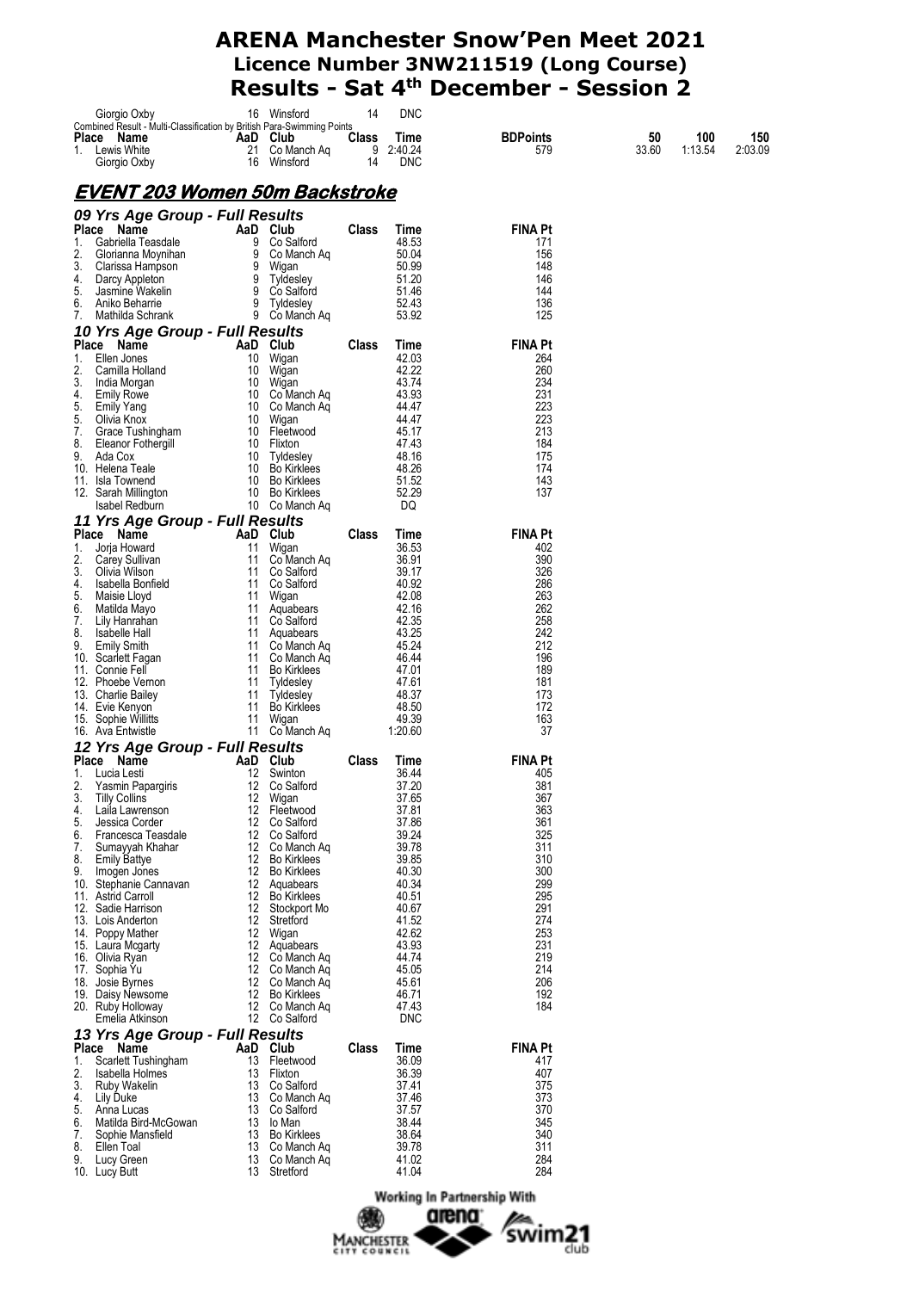|          | Giorgio Oxby                                                                         |          | 16 Winsford                          | 14    | DNC            |                       |       |         |         |
|----------|--------------------------------------------------------------------------------------|----------|--------------------------------------|-------|----------------|-----------------------|-------|---------|---------|
|          | Combined Result - Multi-Classification by British Para-Swimming Points<br>Place Name |          | AaD Club                             | Class | Time           | <b>BDPoints</b>       | 50    | 100     | 150     |
|          | 1. Lewis White                                                                       |          | 21 Co Manch Aq                       | 9     | 2:40.24        | 579                   | 33.60 | 1:13.54 | 2:03.09 |
|          | Giorgio Oxby                                                                         | 16       | Winsford                             | 14    | <b>DNC</b>     |                       |       |         |         |
|          |                                                                                      |          |                                      |       |                |                       |       |         |         |
|          | <u>EVENT 203 Women 50m Backstroke</u>                                                |          |                                      |       |                |                       |       |         |         |
|          |                                                                                      |          |                                      |       |                |                       |       |         |         |
|          | 09 Yrs Age Group - Full Results<br>Place Name                                        |          | AaD Club                             | Class | Time           | <b>FINA Pt</b>        |       |         |         |
| 1.       | Gabriella Teasdale                                                                   | 9        | Co Salford                           |       | 48.53          | 171                   |       |         |         |
| 2.       | Glorianna Moynihan                                                                   | 9        | Co Manch Ag                          |       | 50.04          | 156                   |       |         |         |
| 3.       | Clarissa Hampson                                                                     | 9        | Wigan                                |       | 50.99          | 148                   |       |         |         |
| 4.<br>5. | Darcy Appleton                                                                       | 9        | 9 Tyldesley<br>Co Salford            |       | 51.20<br>51.46 | 146<br>144            |       |         |         |
| 6.       | Jasmine Wakelin<br>Aniko Beharrie                                                    |          | 9 Tyldesley                          |       | 52.43          | 136                   |       |         |         |
| 7.       | Mathilda Schrank                                                                     |          | 9 Co Manch Aq                        |       | 53.92          | 125                   |       |         |         |
|          | 10 Yrs Age Group - Full Results                                                      |          |                                      |       |                |                       |       |         |         |
|          | Place Name                                                                           |          | AaD Club                             | Class | Time           | <b>FINA Pt</b>        |       |         |         |
| 1.       | Ellen Jones                                                                          |          | 10 Wigan                             |       | 42.03          | 264                   |       |         |         |
| 2.<br>3. | Camilla Holland                                                                      |          | 10 Wigan<br>10 Wigan                 |       | 42.22<br>43.74 | 260<br>234            |       |         |         |
| 4.       | India Morgan<br><b>Emily Rowe</b>                                                    |          | 10 Co Manch Aq                       |       | 43.93          | 231                   |       |         |         |
| 5.       | <b>Emily Yang</b>                                                                    |          | 10 Co Manch Aq                       |       | 44.47          | 223                   |       |         |         |
| 5.       | Olivia Knox                                                                          |          | 10 Wigan                             |       | 44.47          | 223                   |       |         |         |
| 7.<br>8. | Grace Tushingham                                                                     |          | 10 Fleetwood<br>10 Flixton           |       | 45.17<br>47.43 | 213<br>184            |       |         |         |
| 9.       | Eleanor Fothergill<br>Ada Cox                                                        |          | 10 Tyldesley                         |       | 48.16          | 175                   |       |         |         |
|          | 10. Helena Teale                                                                     |          | 10 Bo Kirklees                       |       | 48.26          | 174                   |       |         |         |
|          | 11. Isla Townend                                                                     |          | 10 Bo Kirklees                       |       | 51.52          | 143                   |       |         |         |
|          | 12. Sarah Millington                                                                 |          | 10 Bo Kirklees                       |       | 52.29<br>DQ    | 137                   |       |         |         |
|          | Isabel Redburn<br>11 Yrs Age Group - Full Results                                    |          | 10 Co Manch Ag                       |       |                |                       |       |         |         |
|          | Place Name                                                                           |          | AaD Club                             | Class | Time           | <b>FINA Pt</b>        |       |         |         |
| 1.       | Jorja Howard                                                                         | 11       | Wigan                                |       | 36.53          | 402                   |       |         |         |
| 2.       | Carey Sullivan                                                                       | 11       | Co Manch Aq                          |       | 36.91          | 390                   |       |         |         |
| 3.       | Olivia Wilson                                                                        |          | 11 Co Salford                        |       | 39.17          | 326                   |       |         |         |
| 4.<br>5. | Isabella Bonfield<br>Maisie Lloyd                                                    | 11<br>11 | Co Salford<br>Wigan                  |       | 40.92<br>42.08 | 286<br>263            |       |         |         |
| 6.       | Matilda Mayo                                                                         |          | 11 Aquabears                         |       | 42.16          | 262                   |       |         |         |
| 7.       | Lily Hanrahan                                                                        |          | 11 Co Salford                        |       | 42.35          | 258                   |       |         |         |
| 8.       | Isabelle Hall                                                                        | 11       | Aquabears                            |       | 43.25          | 242                   |       |         |         |
| 9.       | <b>Emily Smith</b><br>10. Scarlett Fagan                                             |          | 11 Co Manch Aq<br>11 Co Manch Ag     |       | 45.24<br>46.44 | 212<br>196            |       |         |         |
|          | 11. Connie Fell                                                                      | 11       | <b>Bo Kirklees</b>                   |       | 47.01          | 189                   |       |         |         |
|          | 12. Phoebe Vernon                                                                    | 11       | Tyldesley                            |       | 47.61          | 181                   |       |         |         |
|          | 13. Charlie Bailey                                                                   | 11       | Tyldesley                            |       | 48.37          | 173                   |       |         |         |
|          | 14. Evie Kenyon<br>15. Sophie Willitts                                               | 11       | Bo Kirklees<br>11 Wigan              |       | 48.50<br>49.39 | 172<br>163            |       |         |         |
|          | 16. Ava Entwistle                                                                    |          | 11 Co Manch Aq                       |       | 1:20.60        | 37                    |       |         |         |
|          | 12 Yrs Age Group - Full Results                                                      |          |                                      |       |                |                       |       |         |         |
|          | Place Name                                                                           |          | AaD Club                             | Class | Time           | <b>FINA Pt</b>        |       |         |         |
| 1.       | Lucia Lesti                                                                          | 12       | Swinton                              |       | 36.44          | 405                   |       |         |         |
| 2.<br>3. | Yasmin Papargiris<br>Tilly Collins                                                   | 12<br>12 | Co Salford                           |       | 37.20<br>37.65 | 381                   |       |         |         |
| 4.       | Laila Lawrenson                                                                      |          | vvigan<br>12 Fleetwood               |       | 37.81          | 367<br>363            |       |         |         |
| 5.       | Jessica Corder                                                                       |          | 12 Co Salford                        |       | 37.86          | 361                   |       |         |         |
| 6.       | Francesca Teasdale                                                                   | 12       | Co Salford                           |       | 39.24          | 325                   |       |         |         |
| 7.<br>8. | Sumayyah Khahar<br><b>Emily Battye</b>                                               | 12       | 12 Co Manch Ag<br><b>Bo Kirklees</b> |       | 39.78<br>39.85 | 311<br>310            |       |         |         |
| 9.       | Imogen Jones                                                                         | 12       | <b>Bo Kirklees</b>                   |       | 40.30          | 300                   |       |         |         |
|          | 10. Stephanie Cannavan                                                               |          | 12 Aquabears                         |       | 40.34          | 299                   |       |         |         |
|          | 11. Astrid Carroll                                                                   |          | 12 Bo Kirklees                       |       | 40.51          | 295                   |       |         |         |
|          | 12. Sadie Harrison<br>13. Lois Anderton                                              |          | 12 Stockport Mo<br>12 Stretford      |       | 40.67<br>41.52 | 291<br>274            |       |         |         |
|          | 14. Poppy Mather                                                                     |          | 12 Wigan                             |       | 42.62          | 253                   |       |         |         |
|          | 15. Laura Mcgarty                                                                    |          | 12 Aquabears                         |       | 43.93          | 231                   |       |         |         |
|          | 16. Olivia Ryan                                                                      |          | 12 Co Manch Aq                       |       | 44.74          | 219                   |       |         |         |
|          | 17. Sophia Yu<br>18. Josie Byrnes                                                    |          | 12 Co Manch Ag<br>12 Co Manch Aq     |       | 45.05<br>45.61 | 214<br>206            |       |         |         |
|          | 19. Daisy Newsome                                                                    |          | 12 Bo Kirklees                       |       | 46.71          | 192                   |       |         |         |
|          | 20. Ruby Holloway                                                                    |          | 12 Co Manch Ag                       |       | 47.43          | 184                   |       |         |         |
|          | Emelia Atkinson                                                                      |          | 12 Co Salford                        |       | <b>DNC</b>     |                       |       |         |         |
|          | 13 Yrs Age Group - Full Results                                                      |          |                                      |       |                |                       |       |         |         |
|          | Place Name                                                                           |          | AaD Club                             | Class | Time<br>36.09  | <b>FINA Pt</b><br>417 |       |         |         |
| 1.<br>2. | Scarlett Tushingham<br>Isabella Holmes                                               | 13<br>13 | Fleetwood<br>Flixton                 |       | 36.39          | 407                   |       |         |         |
| 3.       | Ruby Wakelin                                                                         | 13       | Co Salford                           |       | 37.41          | 375                   |       |         |         |
| 4.       | Lily Duke                                                                            |          | 13 Co Manch Aq                       |       | 37.46          | 373                   |       |         |         |
| 5.<br>6. | Anna Lucas<br>Matilda Bird-McGowan                                                   | 13<br>13 | Co Salford<br>lo Man                 |       | 37.57<br>38.44 | 370<br>345            |       |         |         |
| 7.       | Sophie Mansfield                                                                     |          | 13 Bo Kirklees                       |       | 38.64          | 340                   |       |         |         |
| 8.       | Ellen Toal                                                                           | 13       | Co Manch Ag                          |       | 39.78          | 311                   |       |         |         |
| 9.       | Lucy Green                                                                           | 13       | Co Manch Aq                          |       | 41.02          | 284                   |       |         |         |
|          | 10. Lucy Butt                                                                        |          | 13 Stretford                         |       | 41.04          | 284                   |       |         |         |

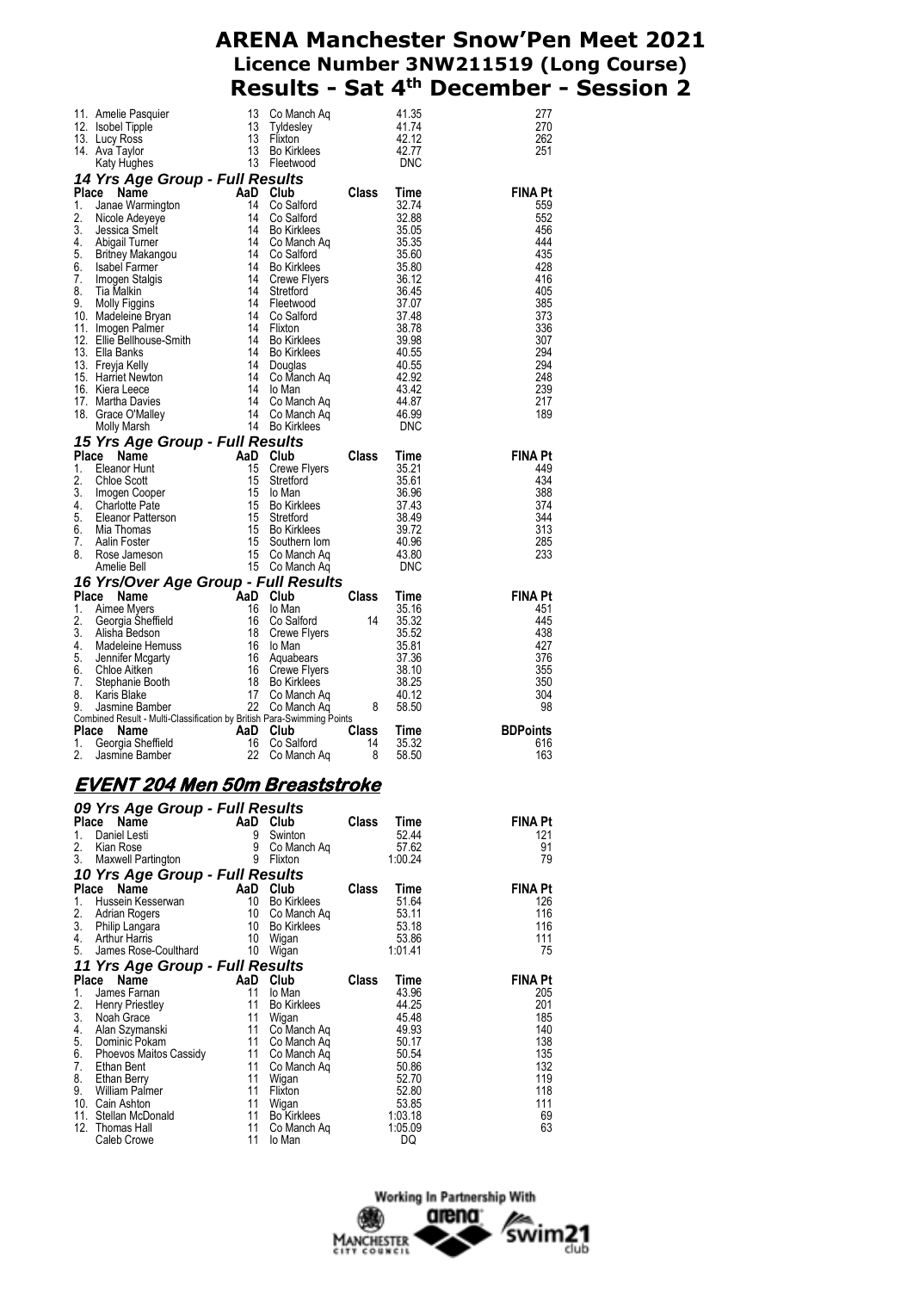|             |                                                                                                                                                                                                                                                                        |          |                                |       |                  | 277                    |
|-------------|------------------------------------------------------------------------------------------------------------------------------------------------------------------------------------------------------------------------------------------------------------------------|----------|--------------------------------|-------|------------------|------------------------|
|             | 11. Amelie Pasquier and the March Aq and the March 2.13 Community of the March 2.12<br>13 Community Community (13 Tyldesley and 1.74<br>13 Hixton 2.12<br>14 Ava Taylor 13 Amelie (13 Bo Kirkless 2.2.77<br>14 Ava Magnes 13 Flore (19                                 |          |                                |       |                  | 270<br>262             |
|             |                                                                                                                                                                                                                                                                        |          |                                |       |                  | 251                    |
|             | 14. Ava Taylor<br><b>AN Explore 13</b> Bo Kirkless<br><b>Place Naryl Hughes</b><br><b>14 Yrs Age Group - Full Results</b><br><b>14 Yrs Age Group - Full Results</b><br>1. Janae Warmington<br>14 Co Salford<br>14 Co Salford<br>14 Bo Kirkless<br>3. Jessica Smelt<br> |          |                                |       |                  |                        |
|             |                                                                                                                                                                                                                                                                        |          |                                |       |                  |                        |
|             |                                                                                                                                                                                                                                                                        |          |                                |       |                  | <b>FINA Pt</b>         |
|             |                                                                                                                                                                                                                                                                        |          |                                |       |                  | 559<br>552             |
|             |                                                                                                                                                                                                                                                                        |          |                                |       |                  | 456                    |
|             |                                                                                                                                                                                                                                                                        |          |                                |       |                  | 444                    |
|             |                                                                                                                                                                                                                                                                        |          |                                |       |                  | 435                    |
|             |                                                                                                                                                                                                                                                                        |          |                                |       |                  | 428<br>416             |
|             |                                                                                                                                                                                                                                                                        |          |                                |       |                  | 405                    |
|             |                                                                                                                                                                                                                                                                        |          |                                |       |                  | 385                    |
|             |                                                                                                                                                                                                                                                                        |          |                                |       |                  | 373                    |
|             |                                                                                                                                                                                                                                                                        |          |                                |       |                  | 336                    |
|             |                                                                                                                                                                                                                                                                        |          |                                |       |                  | 307<br>294             |
|             |                                                                                                                                                                                                                                                                        |          |                                |       |                  | 294                    |
|             |                                                                                                                                                                                                                                                                        |          |                                |       |                  | 248                    |
|             |                                                                                                                                                                                                                                                                        |          |                                |       |                  | 239                    |
|             |                                                                                                                                                                                                                                                                        |          |                                |       |                  | 217<br>189             |
|             |                                                                                                                                                                                                                                                                        |          |                                |       |                  |                        |
|             |                                                                                                                                                                                                                                                                        |          |                                |       |                  |                        |
|             |                                                                                                                                                                                                                                                                        |          |                                |       |                  | <b>FINA Pt</b>         |
|             |                                                                                                                                                                                                                                                                        |          |                                |       |                  | 449                    |
|             |                                                                                                                                                                                                                                                                        |          |                                |       |                  | 434                    |
|             |                                                                                                                                                                                                                                                                        |          |                                |       |                  | 388<br>374             |
|             |                                                                                                                                                                                                                                                                        |          |                                |       |                  | 344                    |
|             |                                                                                                                                                                                                                                                                        |          |                                |       |                  | 313                    |
|             |                                                                                                                                                                                                                                                                        |          |                                |       |                  | 285                    |
|             |                                                                                                                                                                                                                                                                        |          |                                |       |                  | 233                    |
|             |                                                                                                                                                                                                                                                                        |          |                                |       |                  |                        |
|             |                                                                                                                                                                                                                                                                        |          |                                |       |                  | <b>FINA Pt</b>         |
|             |                                                                                                                                                                                                                                                                        |          |                                |       |                  | 451                    |
|             |                                                                                                                                                                                                                                                                        |          |                                |       |                  | 445                    |
|             |                                                                                                                                                                                                                                                                        |          |                                |       |                  | 438                    |
|             |                                                                                                                                                                                                                                                                        |          |                                |       |                  |                        |
|             |                                                                                                                                                                                                                                                                        |          |                                |       |                  | 427                    |
|             |                                                                                                                                                                                                                                                                        |          |                                |       |                  | 376                    |
|             |                                                                                                                                                                                                                                                                        |          |                                |       |                  | 355<br>350             |
|             |                                                                                                                                                                                                                                                                        |          |                                |       |                  | 304                    |
|             |                                                                                                                                                                                                                                                                        |          |                                |       |                  | - 98                   |
|             |                                                                                                                                                                                                                                                                        |          |                                |       |                  |                        |
|             |                                                                                                                                                                                                                                                                        |          |                                |       |                  | <b>BDPoints</b><br>616 |
|             |                                                                                                                                                                                                                                                                        |          |                                |       |                  | 163                    |
|             | Amelie Bell<br>16 <b>Yrs/Over Age Group - Full Results</b><br>16 <b>Yrs/Over Age Group - Full Results</b><br>1. Aimee Myers<br>1. Aimee Myers<br>16 <b>lo Man</b><br>16 <b>Constant 14</b> 35.32<br>3. Alisha Belson<br>18 Crewe Flyers<br>4. Madeleine Hemuss<br>5. J |          |                                |       |                  |                        |
|             | <u>EVENT 204 Men 50m Breaststroke</u>                                                                                                                                                                                                                                  |          |                                |       |                  |                        |
|             | 09 Yrs Age Group - Full Results                                                                                                                                                                                                                                        |          |                                |       |                  |                        |
| Place       | Name                                                                                                                                                                                                                                                                   |          | AaD Club                       | Class | Time             | FINA Pt                |
| 1.          | Daniel Lesti                                                                                                                                                                                                                                                           | 9        | Swinton                        |       | 52.44            | 121                    |
| 2.<br>3.    | Kian Rose                                                                                                                                                                                                                                                              |          | 9 Co Manch Aq                  |       | 57.62<br>1:00.24 | 91<br>79               |
|             | Maxwell Partington                                                                                                                                                                                                                                                     |          | 9 Flixton                      |       |                  |                        |
|             | 10 Yrs Age Group - Full Results<br>Name                                                                                                                                                                                                                                |          |                                | Class | Time             |                        |
| Place<br>1. | Hussein Kesserwan                                                                                                                                                                                                                                                      | 10       | AaD Club<br><b>Bo Kirklees</b> |       | 51.64            | FINA Pt<br>126         |
| 2.          | Adrian Rogers                                                                                                                                                                                                                                                          |          | 10 Co Manch Aq                 |       | 53.11            | 116                    |
| 3.          | Philip Langara                                                                                                                                                                                                                                                         | 10       | <b>Bo Kirklees</b>             |       | 53.18            | 116                    |
| 4.          | Arthur Harris                                                                                                                                                                                                                                                          | 10       | Wigan                          |       | 53.86<br>1:01.41 | 111<br>75              |
| 5.          | James Rose-Coulthard                                                                                                                                                                                                                                                   |          | 10 Wigan                       |       |                  |                        |
| Place       | 11 Yrs Age Group - Full Results<br>Name                                                                                                                                                                                                                                |          | AaD Club                       | Class | Time             | <b>FINA Pt</b>         |
| 1.          | James Farnan                                                                                                                                                                                                                                                           | 11       | lo Man                         |       | 43.96            | 205                    |
| 2.          | Henry Priestley                                                                                                                                                                                                                                                        | 11       | <b>Bo Kirklees</b>             |       | 44.25            | 201                    |
| 3.          | Noah Grace                                                                                                                                                                                                                                                             | 11       | Wigan                          |       | 45.48            | 185                    |
| 4.<br>5.    | Alan Szymanski                                                                                                                                                                                                                                                         | 11<br>11 | Co Manch Aq                    |       | 49.93<br>50.17   | 140<br>138             |
| 6.          | Dominic Pokam<br>Phoevos Maitos Cassidy                                                                                                                                                                                                                                | 11       | Co Manch Aq<br>Co Manch Aq     |       | 50.54            | 135                    |
| 7.          | Ethan Bent                                                                                                                                                                                                                                                             | 11       | Co Manch Aq                    |       | 50.86            | 132                    |
| 8.          | Ethan Berry                                                                                                                                                                                                                                                            | 11       | Wigan                          |       | 52.70            | 119                    |
| 9.          | William Palmer                                                                                                                                                                                                                                                         | 11       | Flixton                        |       | 52.80            | 118                    |
|             | 10. Cain Ashton<br>11. Stellan McDonald                                                                                                                                                                                                                                | 11<br>11 | Wigan<br><b>Bo Kirklees</b>    |       | 53.85<br>1:03.18 | 111<br>69              |
|             | 12. Thomas Hall<br>Caleb Crowe                                                                                                                                                                                                                                         | 11<br>11 | Co Manch Aq<br>lo Man          |       | 1:05.09<br>DQ    | 63                     |

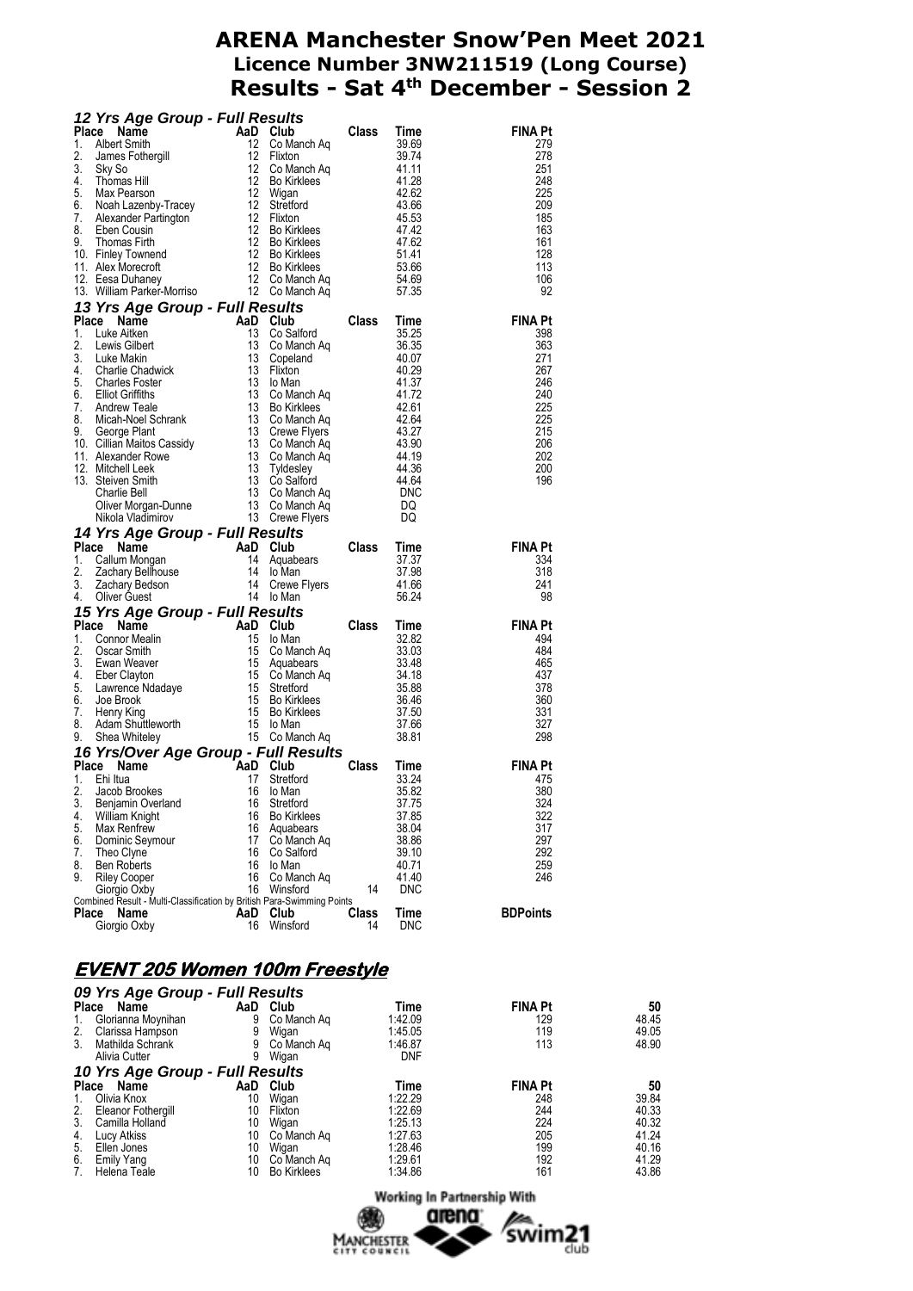|          |                                                                                                                                                                                                                                                                                               |           |                    |             |                           | <b>FINA Pt</b>  |
|----------|-----------------------------------------------------------------------------------------------------------------------------------------------------------------------------------------------------------------------------------------------------------------------------------------------|-----------|--------------------|-------------|---------------------------|-----------------|
|          |                                                                                                                                                                                                                                                                                               |           |                    |             |                           | 279             |
|          |                                                                                                                                                                                                                                                                                               |           |                    |             |                           | 278             |
|          |                                                                                                                                                                                                                                                                                               |           |                    |             |                           | 251             |
|          |                                                                                                                                                                                                                                                                                               |           |                    |             |                           | 248             |
|          |                                                                                                                                                                                                                                                                                               |           |                    |             |                           | 225             |
|          |                                                                                                                                                                                                                                                                                               |           |                    |             |                           | 209             |
|          |                                                                                                                                                                                                                                                                                               |           |                    |             |                           | 185             |
|          |                                                                                                                                                                                                                                                                                               |           |                    |             |                           | 163             |
|          |                                                                                                                                                                                                                                                                                               |           |                    |             |                           | 161             |
|          |                                                                                                                                                                                                                                                                                               |           |                    |             |                           | 128             |
|          |                                                                                                                                                                                                                                                                                               |           |                    |             |                           | 113             |
|          |                                                                                                                                                                                                                                                                                               |           |                    |             |                           | 106             |
|          |                                                                                                                                                                                                                                                                                               |           |                    |             |                           | 92              |
|          | 12 Yrs Age Group - Full Results<br>1. Albert Smith 12 Co Manch Aq<br>1. Subert Smith 12 Co Manch Aq<br>12 Co Manch Aq<br>12 Co Manch Aq<br>12 Dixton<br>4. Thomas Hill 12 Bo Kirklees<br>5. Max Pearson<br>6. Noah Lazenby-Tracey<br>7. Alexande                                              |           |                    |             |                           |                 |
|          |                                                                                                                                                                                                                                                                                               |           |                    |             |                           | <b>FINA Pt</b>  |
|          |                                                                                                                                                                                                                                                                                               |           |                    |             |                           | 398             |
|          |                                                                                                                                                                                                                                                                                               |           |                    |             |                           | 363             |
|          |                                                                                                                                                                                                                                                                                               |           |                    |             |                           | 271             |
|          |                                                                                                                                                                                                                                                                                               |           |                    |             |                           | 267             |
|          |                                                                                                                                                                                                                                                                                               |           |                    |             |                           | 246             |
|          |                                                                                                                                                                                                                                                                                               |           |                    |             |                           | 240             |
|          |                                                                                                                                                                                                                                                                                               |           |                    |             |                           | 225             |
|          |                                                                                                                                                                                                                                                                                               |           |                    |             |                           | -225            |
|          |                                                                                                                                                                                                                                                                                               |           |                    |             |                           | 215             |
|          |                                                                                                                                                                                                                                                                                               |           |                    |             |                           | 206             |
|          |                                                                                                                                                                                                                                                                                               |           |                    |             |                           | 202             |
|          |                                                                                                                                                                                                                                                                                               |           |                    |             |                           | 200             |
|          |                                                                                                                                                                                                                                                                                               |           |                    |             |                           | 196             |
|          |                                                                                                                                                                                                                                                                                               |           |                    |             |                           |                 |
|          |                                                                                                                                                                                                                                                                                               |           |                    |             |                           |                 |
|          |                                                                                                                                                                                                                                                                                               |           |                    |             |                           |                 |
|          |                                                                                                                                                                                                                                                                                               |           |                    |             |                           |                 |
|          |                                                                                                                                                                                                                                                                                               |           |                    |             |                           |                 |
|          | 13. William Parker-Mornso<br>13. William Parker-Mornso<br>13. Yrs Age Group - Full Results<br>13. Luke Aitken<br>13. Co Manch Aq<br>13. Co Manch Aq<br>13. Co Manch Aq<br>13. Co Manch Aq<br>4. Charlie Chadwick<br>4. Charlie Chadwick<br>5. Char                                            |           |                    |             |                           | <b>FINA Pt</b>  |
|          |                                                                                                                                                                                                                                                                                               |           |                    |             |                           | 334             |
|          |                                                                                                                                                                                                                                                                                               |           |                    |             |                           | 318             |
|          |                                                                                                                                                                                                                                                                                               |           |                    |             |                           | 241             |
|          |                                                                                                                                                                                                                                                                                               |           |                    |             |                           | 98              |
|          |                                                                                                                                                                                                                                                                                               |           |                    |             |                           |                 |
|          |                                                                                                                                                                                                                                                                                               |           |                    |             |                           | <b>FINA Pt</b>  |
|          |                                                                                                                                                                                                                                                                                               |           |                    |             |                           | 494             |
|          |                                                                                                                                                                                                                                                                                               |           |                    |             |                           | 484             |
|          |                                                                                                                                                                                                                                                                                               |           |                    |             |                           | 465             |
|          |                                                                                                                                                                                                                                                                                               |           |                    |             |                           | 437             |
|          |                                                                                                                                                                                                                                                                                               |           |                    |             |                           | 378             |
|          |                                                                                                                                                                                                                                                                                               |           |                    |             |                           | 360             |
|          |                                                                                                                                                                                                                                                                                               |           |                    |             |                           | 331             |
|          |                                                                                                                                                                                                                                                                                               |           |                    |             |                           | 327             |
|          |                                                                                                                                                                                                                                                                                               |           |                    |             |                           | 298             |
|          |                                                                                                                                                                                                                                                                                               |           |                    |             |                           |                 |
|          |                                                                                                                                                                                                                                                                                               |           |                    |             |                           |                 |
|          |                                                                                                                                                                                                                                                                                               |           |                    |             |                           | FINA P t        |
|          |                                                                                                                                                                                                                                                                                               |           |                    |             |                           | 380             |
| 3.       |                                                                                                                                                                                                                                                                                               | 16        | Stretford          |             | 37.75                     | 324             |
| 4.       | Mikola Vladimirov<br>14 Yrs Age Group - Full Results<br>Place Name<br>14 Collum Mongan<br>14 Cewe Flyers<br>2. Zachary Bellhouse<br>2. Zachary Bellhouse<br>14 Io Man<br>3. Zachary Bellhouse<br>14 Io Man<br>3. Zachary Belson<br>14 Cewe Flyers<br>1<br>Benjamin Overland<br>William Knight | 16        | <b>Bo Kirklees</b> |             | 37.85                     | 322             |
| 5.       | Max Renfrew                                                                                                                                                                                                                                                                                   | 16        | Aquabears          |             | 38.04                     | 317             |
| 6.       | Dominic Seymour                                                                                                                                                                                                                                                                               | 17        | Co Manch Ag        |             | 38.86                     | 297             |
|          | Theo Clyne                                                                                                                                                                                                                                                                                    | 16        | Co Salford         |             | 39.10                     | 292             |
| 7.<br>8. | <b>Ben Roberts</b>                                                                                                                                                                                                                                                                            | 16        | lo Man             |             | 40.71                     | 259             |
| 9.       | <b>Riley Cooper</b>                                                                                                                                                                                                                                                                           | 16        | Co Manch Ag        |             | 41.40                     | 246             |
|          | Giorgio Oxby                                                                                                                                                                                                                                                                                  | 16        | Winsford           | 14          | <b>DNC</b>                |                 |
|          | Combined Result - Multi-Classification by British Para-Swimming Points                                                                                                                                                                                                                        |           |                    |             |                           |                 |
| Place    | Name<br>Giorgio Oxby                                                                                                                                                                                                                                                                          | AaD<br>16 | Club<br>Winsford   | Class<br>14 | <b>Time</b><br><b>DNC</b> | <b>BDPoints</b> |

# **EVENT 205 Women 100m Freestyle**

|             | 09 Yrs Age Group - Full Results |     |                    |            |                |       |  |  |  |  |  |
|-------------|---------------------------------|-----|--------------------|------------|----------------|-------|--|--|--|--|--|
| Place       | Name                            | AaD | Club               | Time       | <b>FINA Pt</b> | 50    |  |  |  |  |  |
| $1_{\cdot}$ | Glorianna Moynihan              | 9   | Co Manch Ag        | 1:42.09    | 129            | 48.45 |  |  |  |  |  |
| 2.          | Clarissa Hampson                | 9   | Wigan              | 1:45.05    | 119            | 49.05 |  |  |  |  |  |
| 3.          | Mathilda Schrank                | 9   | Co Manch Ag        | 1:46.87    | 113            | 48.90 |  |  |  |  |  |
|             | Alivia Cutter                   | 9   | Wigan              | <b>DNF</b> |                |       |  |  |  |  |  |
|             | 10 Yrs Age Group - Full Results |     |                    |            |                |       |  |  |  |  |  |
| Place       | Name                            | AaD | Club               | Time       | <b>FINA Pt</b> | 50    |  |  |  |  |  |
| 1.          | Olivia Knox                     | 10  | Wigan              | 1:22.29    | 248            | 39.84 |  |  |  |  |  |
| 2.          | Eleanor Fothergill              | 10  | Flixton            | 1:22.69    | 244            | 40.33 |  |  |  |  |  |
| 3.          | Camilla Holland                 | 10  | Wigan              | 1:25.13    | 224            | 40.32 |  |  |  |  |  |
| 4.          | Lucy Atkiss                     | 10  | Co Manch Ag        | 1:27.63    | 205            | 41.24 |  |  |  |  |  |
| 5.          | Ellen Jones                     | 10  | Wigan              | 1:28.46    | 199            | 40.16 |  |  |  |  |  |
| 6.          | Emily Yang                      | 10  | Co Manch Ag        | 1:29.61    | 192            | 41.29 |  |  |  |  |  |
| 7.          | Helena Teale                    | 10  | <b>Bo Kirklees</b> | 1:34.86    | 161            | 43.86 |  |  |  |  |  |

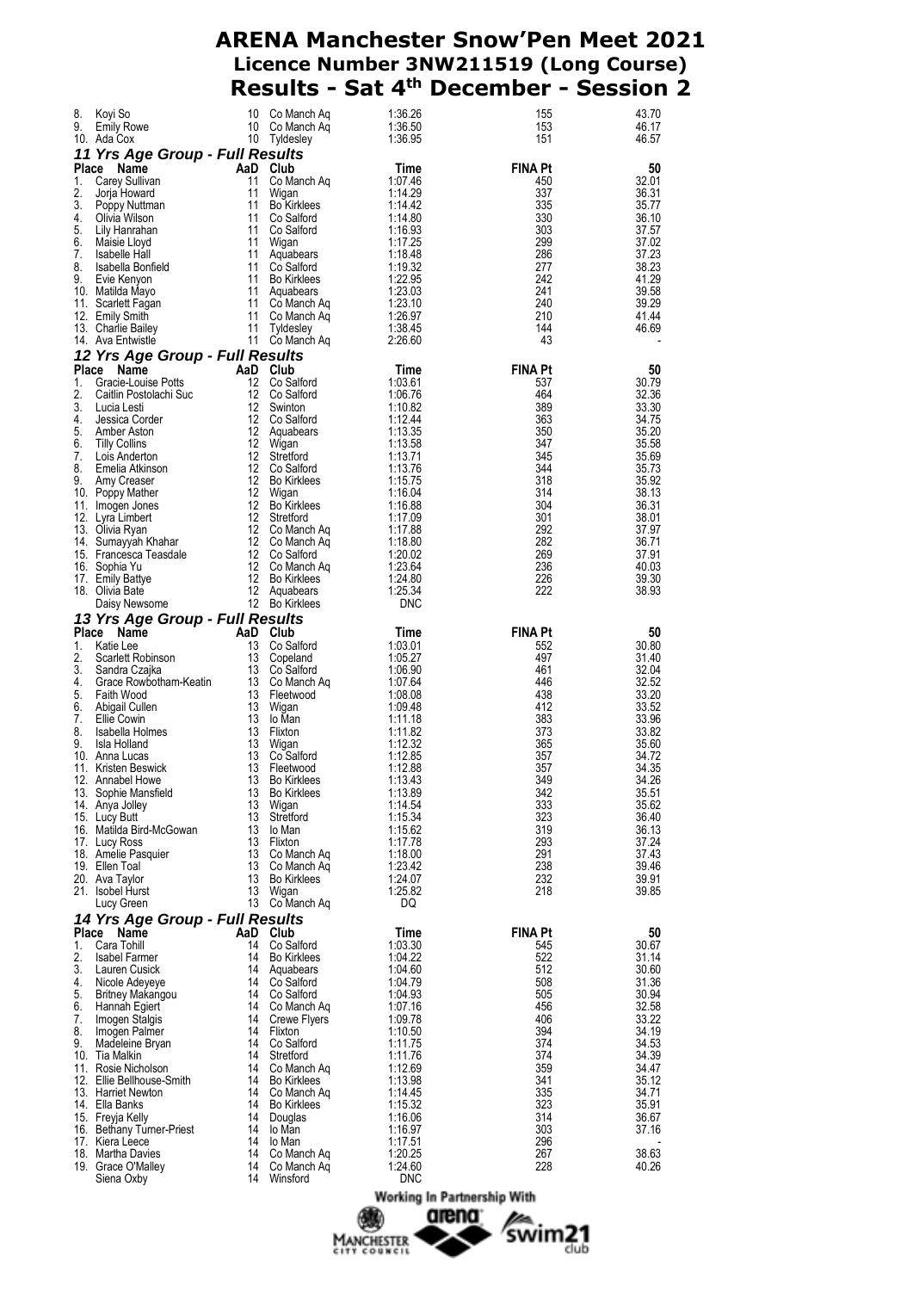| 8.<br>9.    | Koyi So<br><b>Emily Rowe</b><br>10. Ada Cox                                                                                                                                                                                                            | 10<br>10<br>10 | Co Manch Aq<br>Co Manch Aq<br>Tyldesley | 1:36.26<br>1:36.50<br>1:36.95 | 155<br>153<br>151 | 43.70<br>46.17<br>46.57 |
|-------------|--------------------------------------------------------------------------------------------------------------------------------------------------------------------------------------------------------------------------------------------------------|----------------|-----------------------------------------|-------------------------------|-------------------|-------------------------|
|             | 11 Yrs Age Group - Full Results<br>Name                                                                                                                                                                                                                |                |                                         |                               | <b>FINA Pt</b>    |                         |
| Place<br>1. | Carey Sullivan                                                                                                                                                                                                                                         | 11             | AaD Club<br>Co Manch Aq                 | Time<br>1:07.46               | 450               | 50<br>32.01             |
| 2.          | Jorja Howard                                                                                                                                                                                                                                           | 11             | Wigan                                   | 1:14.29                       | 337               | 36.31                   |
| 3.          | Poppy Nuttman                                                                                                                                                                                                                                          | 11             | <b>Bo Kirklees</b>                      | 1:14.42                       | 335               | 35.77                   |
| 4.          | Olivia Wilson                                                                                                                                                                                                                                          |                | 11 Co Salford                           | 1:14.80                       | 330               | 36.10                   |
| 5.          | Lily Hanrahan                                                                                                                                                                                                                                          | 11             | Co Salford                              | 1:16.93                       | 303               | 37.57                   |
| 6.          | Maisie Lloyd                                                                                                                                                                                                                                           | 11             | Wigan                                   | 1:17.25                       | 299               | 37.02                   |
| 7.<br>8.    | Isabelle Hall<br>Isabella Bonfield                                                                                                                                                                                                                     | 11<br>11       | Aquabears<br>Co Salford                 | 1:18.48<br>1:19.32            | 286<br>277        | 37.23<br>38.23          |
| 9.          | Evie Kenyon                                                                                                                                                                                                                                            | 11             | <b>Bo Kirklees</b>                      | 1:22.95                       | 242               | 41.29                   |
|             | 10. Matilda Mayo                                                                                                                                                                                                                                       | - 11           | Aquabears                               | 1:23.03                       | 241               | 39.58                   |
|             | 11. Scarlett Fagan                                                                                                                                                                                                                                     |                | 11 Co Manch Aq                          | 1:23.10                       | 240               | 39.29                   |
|             | 12. Emily Smith                                                                                                                                                                                                                                        | 11             | Co Manch Aq                             | 1:26.97                       | 210               | 41.44                   |
|             | 13. Charlie Bailey                                                                                                                                                                                                                                     | 11             | Tyldesley                               | 1:38.45                       | 144               | 46.69                   |
|             | 14. Ava Entwistle                                                                                                                                                                                                                                      |                | 11 Co Manch Aq                          | 2:26.60                       | 43                |                         |
|             | 12 Yrs Age Group - Full Results                                                                                                                                                                                                                        |                |                                         |                               |                   |                         |
|             | Place Name<br>$\begin{array}{ccc} \text{AaD} & \text{Club} \\ \text{12} & \text{Co Sa} \end{array}$                                                                                                                                                    |                |                                         | Time                          | <b>FINA Pt</b>    | 50                      |
| 1.          | Gracie-Louise Potts                                                                                                                                                                                                                                    | - 12           | Co Salford                              | 1:03.61                       | 537               | 30.79                   |
|             |                                                                                                                                                                                                                                                        |                |                                         | 1:06.76<br>1:10.82            | 464<br>389        | 32.36<br>33.30          |
|             |                                                                                                                                                                                                                                                        |                |                                         | 1:12.44                       | 363               | 34.75                   |
|             |                                                                                                                                                                                                                                                        |                |                                         | 1:13.35                       | 350               | 35.20                   |
|             |                                                                                                                                                                                                                                                        |                |                                         | 1:13.58                       | 347               | 35.58                   |
|             |                                                                                                                                                                                                                                                        |                |                                         | 1:13.71                       | 345               | 35.69                   |
|             |                                                                                                                                                                                                                                                        |                |                                         | 1:13.76                       | 344               | 35.73                   |
|             |                                                                                                                                                                                                                                                        |                |                                         | 1:15.75                       | 318               | 35.92                   |
|             |                                                                                                                                                                                                                                                        |                |                                         | 1:16.04                       | 314               | 38.13                   |
|             |                                                                                                                                                                                                                                                        |                |                                         | 1:16.88<br>1:17.09            | 304<br>301        | 36.31<br>38.01          |
|             |                                                                                                                                                                                                                                                        |                |                                         | 1:17.88                       | 292               | 37.97                   |
|             |                                                                                                                                                                                                                                                        |                |                                         | 1:18.80                       | 282               | 36.71                   |
|             |                                                                                                                                                                                                                                                        |                |                                         | 1:20.02                       | 269               | 37.91                   |
|             |                                                                                                                                                                                                                                                        |                |                                         | 1:23.64                       | 236               | 40.03                   |
|             |                                                                                                                                                                                                                                                        |                |                                         | 1:24.80                       | 226               | 39.30                   |
|             |                                                                                                                                                                                                                                                        |                |                                         | 1:25.34                       | 222               | 38.93                   |
|             | 1. Gracie-Louise Potts<br>1. Gracie-Louise Potts<br>1. Gracie-Louise Potts<br>1. Co Salford<br>1. Lucia Lesti<br>1. Samber Aston<br>5. Amber Aston<br>6. Tilly Collins<br>1. Luis Anderton<br>1. Luis Anderton<br>1. Co Salford<br>5. Amber Aston<br>1 |                |                                         | <b>DNC</b>                    |                   |                         |
|             |                                                                                                                                                                                                                                                        |                |                                         |                               |                   |                         |
|             | 13 Yrs Age Group - Full Results                                                                                                                                                                                                                        |                |                                         |                               |                   |                         |
|             | Place Name                                                                                                                                                                                                                                             |                |                                         | Time                          | <b>FINA Pt</b>    | 50                      |
| 1.          |                                                                                                                                                                                                                                                        |                |                                         | 1:03.01                       | 552               | 30.80                   |
| 2.          |                                                                                                                                                                                                                                                        |                |                                         | 1:05.27                       | 497               | 31.40                   |
| 3.          |                                                                                                                                                                                                                                                        |                |                                         | 1:06.90                       | 461               | 32.04                   |
| 4.          |                                                                                                                                                                                                                                                        |                |                                         | 1:07.64                       | 446               | 32.52                   |
| 5.          |                                                                                                                                                                                                                                                        |                |                                         | 1:08.08                       | 438               | 33.20                   |
| 6.<br>7.    |                                                                                                                                                                                                                                                        |                |                                         | 1:09.48<br>1:11.18            | 412<br>383        | 33.52<br>33.96          |
| 8.          | Isabella Holmes                                                                                                                                                                                                                                        | 13             | Flixton                                 | 1:11.82                       | 373               | 33.82                   |
| 9.          | <b>Frs Age Group - The Case of Age Scale Case of Age City Case of Scale Case of Age Scale Case of Age Scale Case Age of Age Scale Case Rowbotham-Keatin 13 Co Salford Case Rowbotham-Keatin 13 Ce Scale Case Age Age Age Age Age</b><br>Isla Holland   | 13             | Wigan                                   | 1:12.32                       | 365               | 35.60                   |
|             | 10. Anna Lucas                                                                                                                                                                                                                                         | 13             | Co Salford                              | 1:12.85                       | 357               | 34.72                   |
|             | 11. Kristen Beswick                                                                                                                                                                                                                                    | 13             | Fleetwood                               | 1:12.88                       | 357               | 34.35                   |
|             | 12. Annabel Howe                                                                                                                                                                                                                                       | 13             | <b>Bo Kirklees</b>                      | 1:13.43                       | 349               | 34.26                   |
|             | 13. Sophie Mansfield                                                                                                                                                                                                                                   | 13             | <b>Bo Kirklees</b>                      | 1:13.89                       | 342               | 35.51                   |
|             | 14. Anya Jolley                                                                                                                                                                                                                                        | 13             | Wigan                                   | 1:14.54                       | 333               | 35.62                   |
|             | 15. Lucy Butt<br>16. Matilda Bird-McGowan                                                                                                                                                                                                              | 13<br>13       | Stretford<br>lo Man                     | 1:15.34                       | 323<br>319        | 36.40<br>36.13          |
|             | 17. Lucy Ross                                                                                                                                                                                                                                          | 13             | Flixton                                 | 1:15.62<br>1:17.78            | 293               | 37.24                   |
|             | 18. Amelie Pasquier                                                                                                                                                                                                                                    | 13             | Co Manch Ag                             | 1:18.00                       | 291               | 37.43                   |
|             | 19. Ellen Toal                                                                                                                                                                                                                                         | 13             | Co Manch Aq                             | 1:23.42                       | 238               | 39.46                   |
|             | 20. Ava Taylor                                                                                                                                                                                                                                         | 13             | <b>Bo Kirklees</b>                      | 1:24.07                       | 232               | 39.91                   |
|             | 21. Isobel Hurst                                                                                                                                                                                                                                       | 13             | Wigan                                   | 1:25.82                       | 218               | 39.85                   |
|             | Lucy Green                                                                                                                                                                                                                                             |                | 13 Co Manch Aq                          | DQ                            |                   |                         |
|             | 14 Yrs Age Group - Full Results                                                                                                                                                                                                                        |                |                                         |                               |                   |                         |
|             | Place Name                                                                                                                                                                                                                                             |                | AaD Club                                | Time                          | <b>FINA Pt</b>    | 50                      |
| 1.          | Cara Tohill                                                                                                                                                                                                                                            | 14             | Co Salford                              | 1:03.30                       | 545               | 30.67                   |
| 2.<br>3.    | <b>Isabel Farmer</b>                                                                                                                                                                                                                                   | 14<br>14       | <b>Bo Kirklees</b>                      | 1:04.22                       | 522<br>512        | 31.14                   |
| 4.          | Lauren Cusick<br>Nicole Adeyeye                                                                                                                                                                                                                        | 14             | Aquabears<br>Co Salford                 | 1:04.60<br>1:04.79            | 508               | 30.60<br>31.36          |
| 5.          | Britney Makangou                                                                                                                                                                                                                                       |                | 14 Co Salford                           | 1:04.93                       | 505               | 30.94                   |
| 6.          | Hannah Egiert                                                                                                                                                                                                                                          | 14             | Co Manch Ag                             | 1:07.16                       | 456               | 32.58                   |
| 7.          | Imogen Stalgis                                                                                                                                                                                                                                         | 14             | Crewe Flyers                            | 1:09.78                       | 406               | 33.22                   |
| 8.          | Imogen Palmer                                                                                                                                                                                                                                          | 14             | Flixton                                 | 1:10.50                       | 394               | 34.19                   |
| 9.          | Madeleine Bryan                                                                                                                                                                                                                                        | 14             | Co Salford                              | 1:11.75                       | 374               | 34.53                   |
|             | 10. Tia Malkin                                                                                                                                                                                                                                         | 14             | Stretford                               | 1:11.76                       | 374               | 34.39                   |
|             | 11. Rosie Nicholson                                                                                                                                                                                                                                    | 14<br>14       | Co Manch Ag<br><b>Bo Kirklees</b>       | 1:12.69                       | 359<br>341        | 34.47<br>35.12          |
|             | 12. Ellie Bellhouse-Smith<br>13. Harriet Newton                                                                                                                                                                                                        | 14             | Co Manch Aq                             | 1:13.98<br>1:14.45            | 335               | 34.71                   |
|             | 14. Ella Banks                                                                                                                                                                                                                                         | 14             | <b>Bo Kirklees</b>                      | 1:15.32                       | 323               | 35.91                   |
|             | 15. Freyja Kelly                                                                                                                                                                                                                                       | 14             | Douglas                                 | 1:16.06                       | 314               | 36.67                   |
|             | 16. Bethany Turner-Priest                                                                                                                                                                                                                              | 14             | lo Man                                  | 1:16.97                       | 303               | 37.16                   |
|             | 17. Kiera Leece                                                                                                                                                                                                                                        | 14             | lo Man                                  | 1:17.51                       | 296               |                         |
|             | 18. Martha Davies                                                                                                                                                                                                                                      | 14             | Co Manch Ag                             | 1:20.25                       | 267               | 38.63                   |
|             | 19. Grace O'Malley<br>Siena Oxby                                                                                                                                                                                                                       | 14<br>14       | Co Manch Ag<br>Winsford                 | 1:24.60<br><b>DNC</b>         | 228               | 40.26                   |



swim21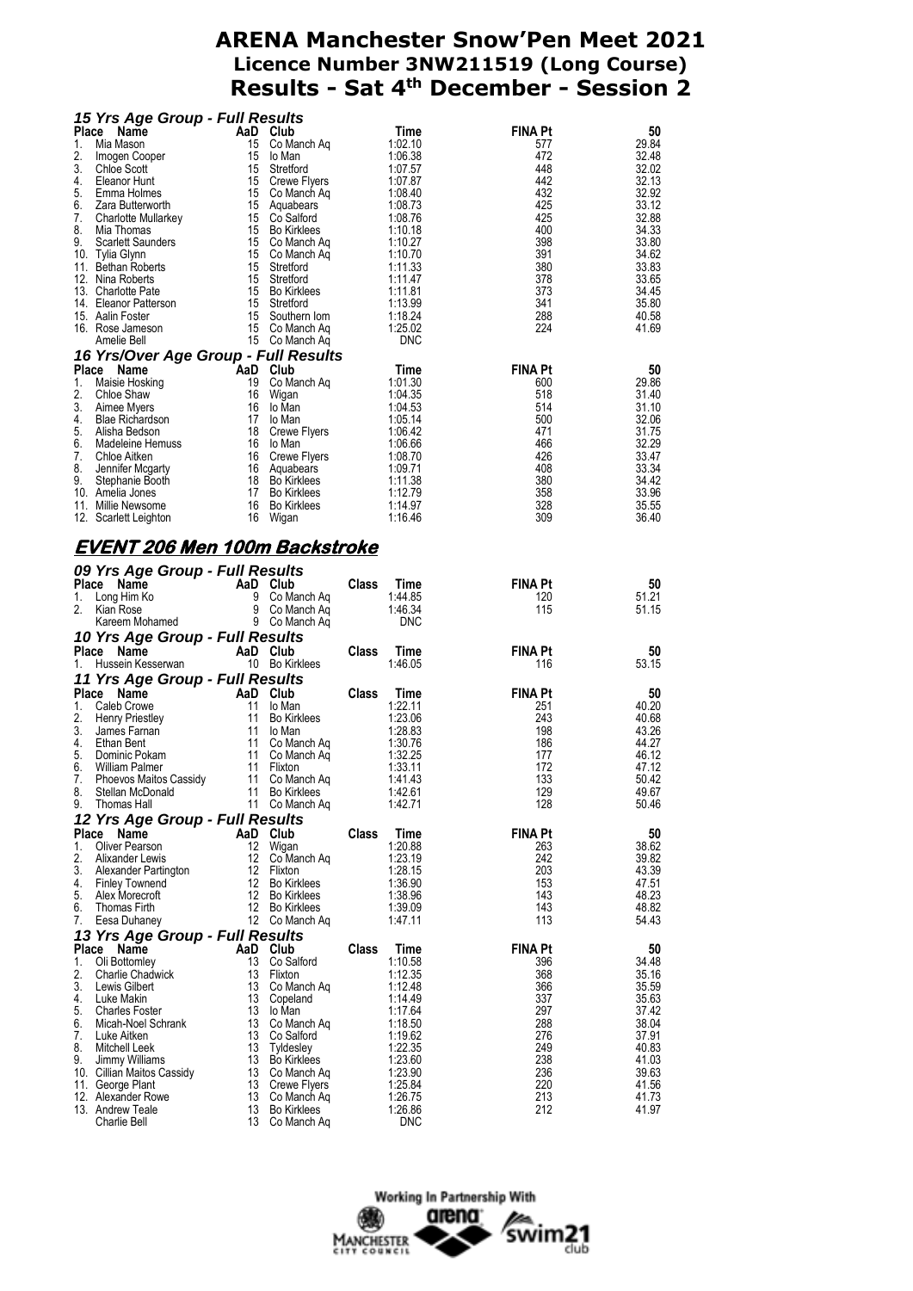| 15 Yrs Age Group - Full Results                                                                                                                                                                                                                                                                           |                                                                                                 |                                                                           |              |                                   |                |                |
|-----------------------------------------------------------------------------------------------------------------------------------------------------------------------------------------------------------------------------------------------------------------------------------------------------------|-------------------------------------------------------------------------------------------------|---------------------------------------------------------------------------|--------------|-----------------------------------|----------------|----------------|
| Place Name                                                                                                                                                                                                                                                                                                |                                                                                                 | AaD Club                                                                  |              | Time                              | <b>FINA Pt</b> | 50             |
| 1.<br>Mia Mason                                                                                                                                                                                                                                                                                           |                                                                                                 | 15 Co Manch Aq                                                            |              | 1:02.10                           | 577            | 29.84<br>32.48 |
|                                                                                                                                                                                                                                                                                                           |                                                                                                 |                                                                           |              | 1:06.38<br>1:07.57                | 472<br>448     | 32.02          |
|                                                                                                                                                                                                                                                                                                           |                                                                                                 |                                                                           |              | 1:07.87                           | 442            | 32.13          |
|                                                                                                                                                                                                                                                                                                           |                                                                                                 |                                                                           |              | 1:08.40                           | 432            | 32.92          |
|                                                                                                                                                                                                                                                                                                           |                                                                                                 |                                                                           |              | 1:08.73                           | 425            | 33.12          |
|                                                                                                                                                                                                                                                                                                           |                                                                                                 |                                                                           |              | 1:08.76                           | 425            | 32.88          |
|                                                                                                                                                                                                                                                                                                           |                                                                                                 |                                                                           |              | 1:10.18<br>1:10.27                | 400<br>398     | 34.33<br>33.80 |
|                                                                                                                                                                                                                                                                                                           |                                                                                                 |                                                                           |              | 1:10.70                           | 391            | 34.62          |
|                                                                                                                                                                                                                                                                                                           |                                                                                                 |                                                                           |              | 1:11.33                           | 380            | 33.83          |
|                                                                                                                                                                                                                                                                                                           |                                                                                                 |                                                                           |              | 1:11.47                           | 378            | 33.65          |
|                                                                                                                                                                                                                                                                                                           |                                                                                                 |                                                                           |              | 1:11.81                           | 373            | 34.45          |
|                                                                                                                                                                                                                                                                                                           |                                                                                                 |                                                                           |              | 1:13.99                           | 341<br>288     | 35.80          |
|                                                                                                                                                                                                                                                                                                           |                                                                                                 |                                                                           |              | 1:18.24<br>1:25.02                | 224            | 40.58<br>41.69 |
|                                                                                                                                                                                                                                                                                                           |                                                                                                 |                                                                           |              | <b>DNC</b>                        |                |                |
| 1. Mia mason<br>2. Imogen Cooper<br>3. Chloe Scott<br>4. Eleanor Hunt<br>5. Emma Holmes<br>5. Emma Holmes<br>5. The Holmes<br>7. Charlotte Mullarkey<br>7. Charlotte Mullarkey<br>15 Co Manch Aq<br>7. Charlotte Mullarkey<br>15 Co Salford<br>15 Co<br>16 Yrs/Over Age Group - Full Results              |                                                                                                 |                                                                           |              |                                   |                |                |
| Place Name                                                                                                                                                                                                                                                                                                | Algo Stromp And Club<br>And Club<br>19 Co Ma<br>16 Io Mar<br>17 Io Mar<br>17 Io Mar<br>18 Crewe |                                                                           |              |                                   | <b>FINA Pt</b> | 50             |
| 1. Maisie Hosking                                                                                                                                                                                                                                                                                         |                                                                                                 | <b>aD Club</b><br>19 Co Manch Aq<br>16 Wigan                              |              | $Time$<br>$1.01.30$               | 600            | 29.86          |
| 2.<br>Chloe Shaw                                                                                                                                                                                                                                                                                          |                                                                                                 | 16 Wigan                                                                  |              | 1:04.35                           | 518            | 31.40          |
| 3. Aimee Myers                                                                                                                                                                                                                                                                                            |                                                                                                 | 16 lo Man                                                                 |              | $1:04.53$<br>$1:05.14$            | 514            | 31.10          |
| 4. Blae Richardson<br>5.                                                                                                                                                                                                                                                                                  |                                                                                                 | 17 lo Man                                                                 |              | 1:06.42                           | 500<br>471     | 32.06<br>31.75 |
| 6.<br>Madeleine Hemuss                                                                                                                                                                                                                                                                                    |                                                                                                 |                                                                           |              | 1:06.42<br>1:06.66<br>1:08.70     | 466            | 32.29          |
| 7. Chloe Aitken                                                                                                                                                                                                                                                                                           |                                                                                                 |                                                                           |              |                                   | 426            | 33.47          |
| 8.                                                                                                                                                                                                                                                                                                        |                                                                                                 |                                                                           |              | 1:09.71                           | 408            | 33.34          |
| 9.                                                                                                                                                                                                                                                                                                        |                                                                                                 |                                                                           |              | 1:11.38                           | 380            | 34.42          |
| 10. Amelia Jones                                                                                                                                                                                                                                                                                          |                                                                                                 |                                                                           |              | 1:12.79                           | 358            | 33.96          |
| Blae Richardson<br>Alisha Bedson<br>Madeleine Hemuss<br>Chloe Aitken<br>Chloe Aitken<br>Chloe Aitken<br>Chloe Aitken<br>Stephanie Booth<br>16 Aquabears<br>Stephanie Booth<br>18 Bo Kirklees<br>Amelia Jones<br>17 Bo Kirklees<br>17 Bo Kirklees<br>17 Bo<br>⊥⊥. wiiliie Newsome<br>12. Scarlett Leighton |                                                                                                 | 16 Wigan                                                                  |              | 1:14.97<br>1:16.46                | 328<br>309     | 35.55<br>36.40 |
|                                                                                                                                                                                                                                                                                                           |                                                                                                 |                                                                           |              |                                   |                |                |
| EVENT 206 Men 100m Backstroke                                                                                                                                                                                                                                                                             |                                                                                                 |                                                                           |              |                                   |                |                |
|                                                                                                                                                                                                                                                                                                           |                                                                                                 |                                                                           |              |                                   |                |                |
| 09 Yrs Age Group - Full Results                                                                                                                                                                                                                                                                           |                                                                                                 |                                                                           |              |                                   |                |                |
| Place Name                                                                                                                                                                                                                                                                                                |                                                                                                 |                                                                           | <b>Class</b> | Time                              | <b>FINA Pt</b> | 50             |
| Cub<br>Long Him Ko<br>Kian Rose<br>Kareem Mohamed<br>Boo Ma<br>So Ma<br>So Ma<br>So Ma<br>So Ma<br>So Ma<br>So Ma<br>So Ma<br>So Ma<br>So Ma<br>So Ma<br>So Ma<br>So Ma<br>So Ma<br>1.<br>2. Kian Rose                                                                                                    |                                                                                                 | Co Manch Aq<br>9 Co Manch Aq                                              |              | 1:44.85<br>1:46.34                | 120<br>115     | 51.21<br>51.15 |
|                                                                                                                                                                                                                                                                                                           |                                                                                                 | 9 Co Manch Ag                                                             |              | <b>DNC</b>                        |                |                |
|                                                                                                                                                                                                                                                                                                           |                                                                                                 |                                                                           |              |                                   |                |                |
|                                                                                                                                                                                                                                                                                                           |                                                                                                 |                                                                           |              |                                   |                |                |
|                                                                                                                                                                                                                                                                                                           | <b>Example 2</b> AaD Club                                                                       |                                                                           | Class        | Time                              | <b>FINA Pt</b> | 50             |
| 10 Yrs Age Group - Full Results<br>Place Name<br>1. Hussein Kesserwan                                                                                                                                                                                                                                     |                                                                                                 | 10 Bo Kirklees                                                            |              | 1:46.05                           | 116            | 53.15          |
|                                                                                                                                                                                                                                                                                                           |                                                                                                 |                                                                           |              |                                   |                |                |
|                                                                                                                                                                                                                                                                                                           |                                                                                                 | AaD Club                                                                  | Class        | Time                              | <b>FINA Pt</b> | 50             |
| Caleb Crowe                                                                                                                                                                                                                                                                                               |                                                                                                 | 11 lo Man                                                                 |              | 1:22.11                           | 251            | 40.20          |
| Henry Priestley                                                                                                                                                                                                                                                                                           |                                                                                                 | 11 Bo Kirklees                                                            |              | 1:23.06                           | 243            | 40.68          |
| James Farnan                                                                                                                                                                                                                                                                                              |                                                                                                 |                                                                           |              |                                   | 198            | 43.26          |
| 11 Yrs Age Group - Full Results<br>Place Name<br>1.<br>2.<br>3.<br>4.<br>Ethan Bent<br>5.<br>Dominic Pokam                                                                                                                                                                                                |                                                                                                 |                                                                           |              | $1.23.83$<br>$1.30.76$<br>1:32.25 | 186<br>177     | 44.27<br>46.12 |
| William Palmer                                                                                                                                                                                                                                                                                            |                                                                                                 | 11 Bo Kirklees<br>11 Io Man<br>11 Co Manch Aq<br>11 Eliyton<br>11 Flixton |              | 1:33.11                           | 172            | 47.12          |
|                                                                                                                                                                                                                                                                                                           |                                                                                                 | 11 Co Manch Aq                                                            |              | 1:41.43                           | 133            | 50.42          |
| 6.<br>william Palmer<br>Phoevos Maitos Cassidy<br>Stellan McDonald<br>7.<br>8.<br>Stellan McDonald                                                                                                                                                                                                        |                                                                                                 | 11 Bo Kirklees                                                            |              | 1:42.61                           | 129            | 49.67          |
| 9.<br>Thomas Hall                                                                                                                                                                                                                                                                                         |                                                                                                 | 11 Co Manch Aq                                                            |              | 1:42.71                           | 128            | 50.46          |
| 12 Yrs Age Group - Full Results                                                                                                                                                                                                                                                                           |                                                                                                 |                                                                           |              |                                   |                |                |
|                                                                                                                                                                                                                                                                                                           |                                                                                                 | AaD Club                                                                  | <b>Class</b> | Time                              | FINA Pt        | 50             |
| Place Name<br><b>Oliver Pearson</b><br>1.<br>2.<br>Alixander Lewis                                                                                                                                                                                                                                        |                                                                                                 | 12 Wigan                                                                  |              | 1:20.88<br>1:23.19                | 263<br>242     | 38.62<br>39.82 |
| 3.<br>Alexander Partington                                                                                                                                                                                                                                                                                |                                                                                                 | 12 Co Manch Aq<br>12 Flixton                                              |              | 1:28.15                           | 203            | 43.39          |
| <b>Finley Townend</b>                                                                                                                                                                                                                                                                                     |                                                                                                 | 12 Bo Kirklees                                                            |              | 1:36.90                           | 153            | 47.51          |
| Alex Morecroft                                                                                                                                                                                                                                                                                            |                                                                                                 | 12 Bo Kirklees                                                            |              | 1:38.96                           | 143            | 48.23          |
| 4.<br>5.<br>6.<br><b>Thomas Firth</b>                                                                                                                                                                                                                                                                     |                                                                                                 | 12 Bo Kirklees                                                            |              | 1:39.09                           | 143            | 48.82          |
| Eesa Duhaney                                                                                                                                                                                                                                                                                              |                                                                                                 | 12 Co Manch Aq                                                            |              | 1:47.11                           | 113            | 54.43          |
| 7.<br>13 Yrs Age Group - Full Results                                                                                                                                                                                                                                                                     |                                                                                                 | AaD Club                                                                  | <b>Class</b> | Time                              | <b>FINA Pt</b> | 50             |
| Place<br>Name<br>1.<br>Oli Bottomley                                                                                                                                                                                                                                                                      | 13                                                                                              | Co Salford                                                                |              | 1:10.58                           | 396            | 34.48          |
| <b>Charlie Chadwick</b>                                                                                                                                                                                                                                                                                   | 13                                                                                              | Flixton                                                                   |              | 1:12.35                           | 368            | 35.16          |
| Lewis Gilbert                                                                                                                                                                                                                                                                                             |                                                                                                 | 13 Co Manch Aq                                                            |              | 1:12.48                           | 366            | 35.59          |
| 2.<br>3.<br>4.<br>Luke Makin                                                                                                                                                                                                                                                                              | 13                                                                                              | Copeland                                                                  |              | 1:14.49                           | 337            | 35.63          |
| <b>Charles Foster</b><br>Micah-Noel Schrank                                                                                                                                                                                                                                                               | 13                                                                                              | lo Man                                                                    |              | 1:17.64<br>1:18.50                | 297<br>288     | 37.42<br>38.04 |
| Luke Aitken                                                                                                                                                                                                                                                                                               |                                                                                                 | 13 Co Manch Aq<br>13 Co Salford                                           |              | 1:19.62                           | 276            | 37.91          |
| 5.<br>6.<br>7.<br>8.<br>Mitchell Leek                                                                                                                                                                                                                                                                     | 13                                                                                              | Tyldesley                                                                 |              | 1:22.35                           | 249            | 40.83          |
| 9.<br>Jimmy Williams                                                                                                                                                                                                                                                                                      |                                                                                                 | 13 Bo Kirklees                                                            |              | 1:23.60                           | 238            | 41.03          |
| 10. Cillian Maitos Cassidy                                                                                                                                                                                                                                                                                |                                                                                                 | 13 Co Manch Aq                                                            |              | 1:23.90                           | 236            | 39.63          |
| 11. George Plant<br>12. Alexander Rowe                                                                                                                                                                                                                                                                    |                                                                                                 | 13 Crewe Flyers<br>13 Co Manch Aq                                         |              | 1:25.84<br>1:26.75                | 220<br>213     | 41.56<br>41.73 |
| 13. Andrew Teale<br>Charlie Bell                                                                                                                                                                                                                                                                          |                                                                                                 | 13 Bo Kirklees<br>13 Co Manch Ag                                          |              | 1:26.86<br><b>DNC</b>             | 212            | 41.97          |